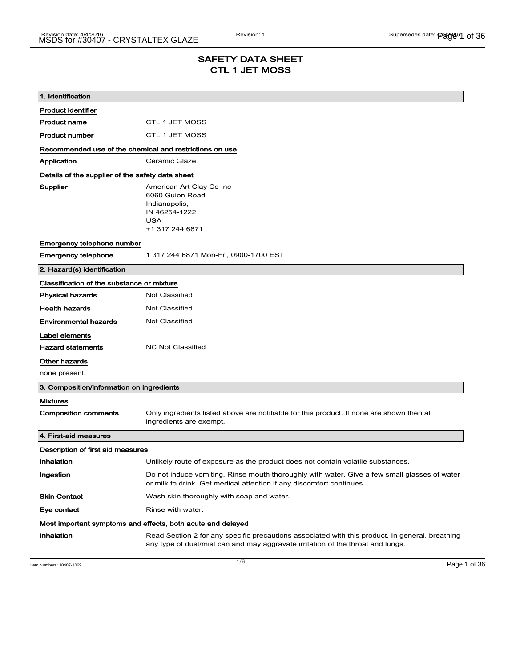## SAFETY DATA SHEET CTL 1 JET MOSS

| 1. Identification                                       |                                                                                                                                                                                    |
|---------------------------------------------------------|------------------------------------------------------------------------------------------------------------------------------------------------------------------------------------|
| <b>Product identifier</b>                               |                                                                                                                                                                                    |
| <b>Product name</b>                                     | CTL 1 JET MOSS                                                                                                                                                                     |
| <b>Product number</b>                                   | CTL 1 JET MOSS                                                                                                                                                                     |
| Recommended use of the chemical and restrictions on use |                                                                                                                                                                                    |
| Application                                             | Ceramic Glaze                                                                                                                                                                      |
| Details of the supplier of the safety data sheet        |                                                                                                                                                                                    |
| Supplier                                                | American Art Clay Co Inc<br>6060 Guion Road<br>Indianapolis,<br>IN 46254-1222<br><b>USA</b><br>+1 317 244 6871                                                                     |
| Emergency telephone number                              |                                                                                                                                                                                    |
| <b>Emergency telephone</b>                              | 1 317 244 6871 Mon-Fri, 0900-1700 EST                                                                                                                                              |
| 2. Hazard(s) identification                             |                                                                                                                                                                                    |
| Classification of the substance or mixture              |                                                                                                                                                                                    |
| <b>Physical hazards</b>                                 | <b>Not Classified</b>                                                                                                                                                              |
| <b>Health hazards</b>                                   | <b>Not Classified</b>                                                                                                                                                              |
| <b>Environmental hazards</b>                            | <b>Not Classified</b>                                                                                                                                                              |
| Label elements                                          |                                                                                                                                                                                    |
| <b>Hazard statements</b>                                | <b>NC Not Classified</b>                                                                                                                                                           |
| Other hazards                                           |                                                                                                                                                                                    |
| none present.                                           |                                                                                                                                                                                    |
| 3. Composition/information on ingredients               |                                                                                                                                                                                    |
| <b>Mixtures</b>                                         |                                                                                                                                                                                    |
| <b>Composition comments</b>                             | Only ingredients listed above are notifiable for this product. If none are shown then all<br>ingredients are exempt.                                                               |
| 4. First-aid measures                                   |                                                                                                                                                                                    |
| Description of first aid measures                       |                                                                                                                                                                                    |
| Inhalation                                              | Unlikely route of exposure as the product does not contain volatile substances.                                                                                                    |
| Ingestion                                               | Do not induce vomiting. Rinse mouth thoroughly with water. Give a few small glasses of water<br>or milk to drink. Get medical attention if any discomfort continues.               |
| <b>Skin Contact</b>                                     | Wash skin thoroughly with soap and water.                                                                                                                                          |
| Eye contact                                             | Rinse with water.                                                                                                                                                                  |
|                                                         | Most important symptoms and effects, both acute and delayed                                                                                                                        |
| Inhalation                                              | Read Section 2 for any specific precautions associated with this product. In general, breathing<br>any type of dust/mist can and may aggravate irritation of the throat and lungs. |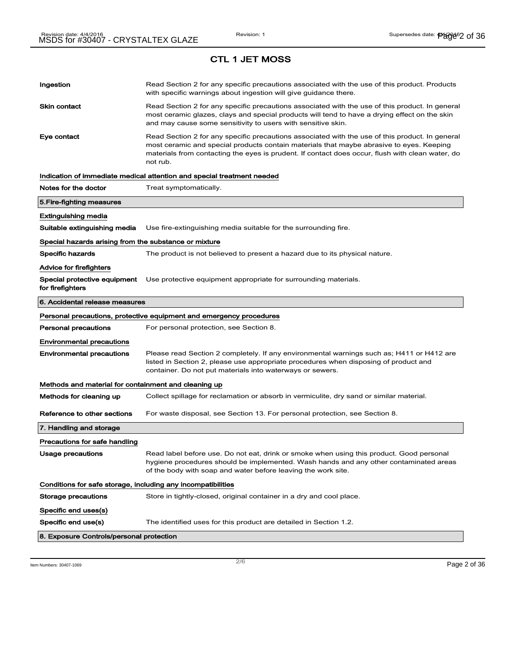# Ingestion **Read Section 2 for any specific precautions associated with the use of this product. Products** with specific warnings about ingestion will give guidance there. Skin contact **Read Section 2 for any specific precautions associated with the use of this product. In general** most ceramic glazes, clays and special products will tend to have a drying effect on the skin and may cause some sensitivity to users with sensitive skin. Eye contact **Read Section 2 for any specific precautions associated with the use of this product. In general** most ceramic and special products contain materials that maybe abrasive to eyes. Keeping materials from contacting the eyes is prudent. If contact does occur, flush with clean water, do not rub. Indication of immediate medical attention and special treatment needed Notes for the doctor Treat symptomatically. 5.Fire-fighting measures Extinguishing media Suitable extinguishing media Use fire-extinguishing media suitable for the surrounding fire. Special hazards arising from the substance or mixture Specific hazards The product is not believed to present a hazard due to its physical nature. Advice for firefighters Special protective equipment Use protective equipment appropriate for surrounding materials. for firefighters 6. Accidental release measures Personal precautions, protective equipment and emergency procedures Personal precautions For personal protection, see Section 8. Environmental precautions Environmental precautions Please read Section 2 completely. If any environmental warnings such as; H411 or H412 are listed in Section 2, please use appropriate procedures when disposing of product and container. Do not put materials into waterways or sewers. Methods and material for containment and cleaning up Methods for cleaning up Collect spillage for reclamation or absorb in vermiculite, dry sand or similar material. Reference to other sections For waste disposal, see Section 13. For personal protection, see Section 8. 7. Handling and storage Precautions for safe handling Usage precautions **Read label before use. Do not eat, drink or smoke when using this product. Good personal** hygiene procedures should be implemented. Wash hands and any other contaminated areas of the body with soap and water before leaving the work site. Conditions for safe storage, including any incompatibilities Storage precautions Store in tightly-closed, original container in a dry and cool place. Specific end uses(s) Specific end use(s) The identified uses for this product are detailed in Section 1.2. 8. Exposure Controls/personal protection

Item Numbers: 30407-1069 Page 2 of 36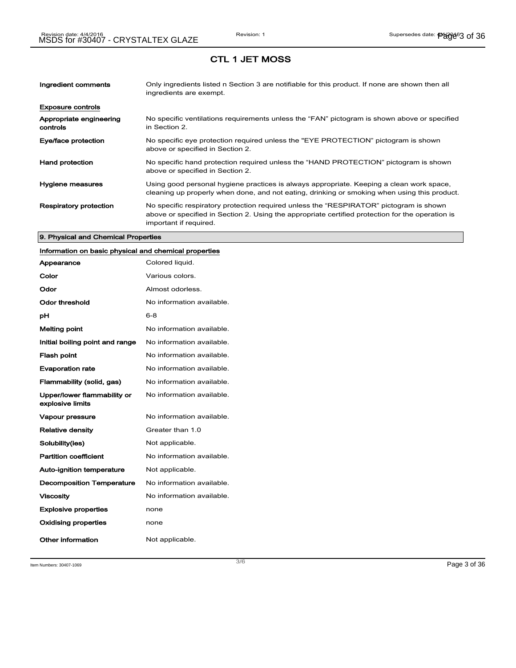| Ingredient comments                 | Only ingredients listed n Section 3 are notifiable for this product. If none are shown then all<br>ingredients are exempt.                                                                                           |
|-------------------------------------|----------------------------------------------------------------------------------------------------------------------------------------------------------------------------------------------------------------------|
| <b>Exposure controls</b>            |                                                                                                                                                                                                                      |
| Appropriate engineering<br>controls | No specific ventilations requirements unless the "FAN" pictogram is shown above or specified<br>in Section 2.                                                                                                        |
| Eye/face protection                 | No specific eye protection required unless the "EYE PROTECTION" pictogram is shown<br>above or specified in Section 2.                                                                                               |
| <b>Hand protection</b>              | No specific hand protection required unless the "HAND PROTECTION" pictogram is shown<br>above or specified in Section 2.                                                                                             |
| Hygiene measures                    | Using good personal hygiene practices is always appropriate. Keeping a clean work space,<br>cleaning up properly when done, and not eating, drinking or smoking when using this product.                             |
| <b>Respiratory protection</b>       | No specific respiratory protection required unless the "RESPIRATOR" pictogram is shown<br>above or specified in Section 2. Using the appropriate certified protection for the operation is<br>important if required. |

#### 9. Physical and Chemical Properties

## Information on basic physical and chemical properties

| Appearance                                      | Colored liquid.           |
|-------------------------------------------------|---------------------------|
| Color                                           | Various colors.           |
| Odor                                            | Almost odorless.          |
| Odor threshold                                  | No information available. |
| рH                                              | $6 - 8$                   |
| <b>Melting point</b>                            | No information available. |
| Initial boiling point and range                 | No information available. |
| <b>Flash point</b>                              | No information available. |
| <b>Evaporation rate</b>                         | No information available. |
| Flammability (solid, gas)                       | No information available. |
| Upper/lower flammability or<br>explosive limits | No information available. |
| Vapour pressure                                 | No information available. |
| <b>Relative density</b>                         | Greater than 1.0          |
| Solubility(ies)                                 | Not applicable.           |
| <b>Partition coefficient</b>                    | No information available. |
| <b>Auto-ignition temperature</b>                | Not applicable.           |
| <b>Decomposition Temperature</b>                | No information available. |
| <b>Viscosity</b>                                | No information available. |
| <b>Explosive properties</b>                     | none                      |
| <b>Oxidising properties</b>                     | none                      |
| Other information                               | Not applicable.           |

Item Numbers:  $30407-1069$   $Page 3 of 36$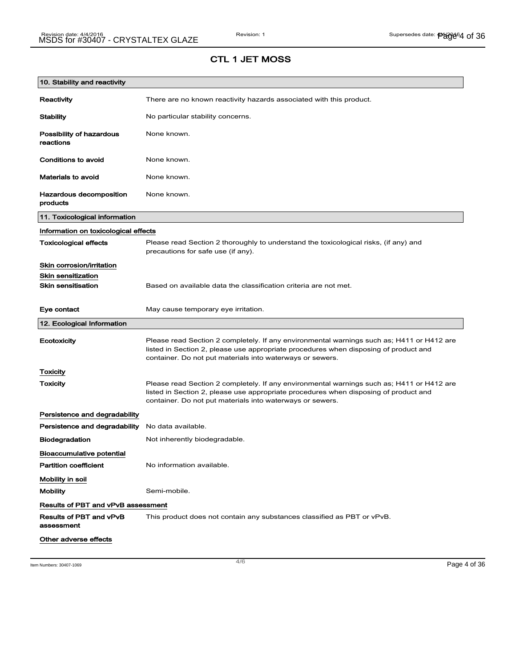| 10. Stability and reactivity               |                                                                                                                                                                                                                                                |
|--------------------------------------------|------------------------------------------------------------------------------------------------------------------------------------------------------------------------------------------------------------------------------------------------|
| Reactivity                                 | There are no known reactivity hazards associated with this product.                                                                                                                                                                            |
| <b>Stability</b>                           | No particular stability concerns.                                                                                                                                                                                                              |
| Possibility of hazardous<br>reactions      | None known.                                                                                                                                                                                                                                    |
| Conditions to avoid                        | None known.                                                                                                                                                                                                                                    |
| <b>Materials to avoid</b>                  | None known.                                                                                                                                                                                                                                    |
| <b>Hazardous decomposition</b><br>products | None known.                                                                                                                                                                                                                                    |
| 11. Toxicological information              |                                                                                                                                                                                                                                                |
| Information on toxicological effects       |                                                                                                                                                                                                                                                |
| <b>Toxicological effects</b>               | Please read Section 2 thoroughly to understand the toxicological risks, (if any) and<br>precautions for safe use (if any).                                                                                                                     |
| Skin corrosion/irritation                  |                                                                                                                                                                                                                                                |
| <b>Skin sensitization</b>                  |                                                                                                                                                                                                                                                |
| <b>Skin sensitisation</b>                  | Based on available data the classification criteria are not met.                                                                                                                                                                               |
| Eye contact                                | May cause temporary eye irritation.                                                                                                                                                                                                            |
| 12. Ecological Information                 |                                                                                                                                                                                                                                                |
| Ecotoxicity                                | Please read Section 2 completely. If any environmental warnings such as; H411 or H412 are<br>listed in Section 2, please use appropriate procedures when disposing of product and<br>container. Do not put materials into waterways or sewers. |
| Toxicity                                   |                                                                                                                                                                                                                                                |
| Toxicity                                   | Please read Section 2 completely. If any environmental warnings such as; H411 or H412 are<br>listed in Section 2, please use appropriate procedures when disposing of product and<br>container. Do not put materials into waterways or sewers. |
| Persistence and degradability              |                                                                                                                                                                                                                                                |
| Persistence and degradability              | No data available.                                                                                                                                                                                                                             |
| <b>Biodegradation</b>                      | Not inherently biodegradable.                                                                                                                                                                                                                  |
| <b>Bioaccumulative potential</b>           |                                                                                                                                                                                                                                                |
| <b>Partition coefficient</b>               | No information available.                                                                                                                                                                                                                      |
| Mobility in soil                           |                                                                                                                                                                                                                                                |
| <b>Mobility</b>                            | Semi-mobile.                                                                                                                                                                                                                                   |
| Results of PBT and vPvB assessment         |                                                                                                                                                                                                                                                |
| Results of PBT and vPvB<br>assessment      | This product does not contain any substances classified as PBT or vPvB.                                                                                                                                                                        |
| Other adverse effects                      |                                                                                                                                                                                                                                                |

Item Numbers: 30407-1069 Page 4 of 36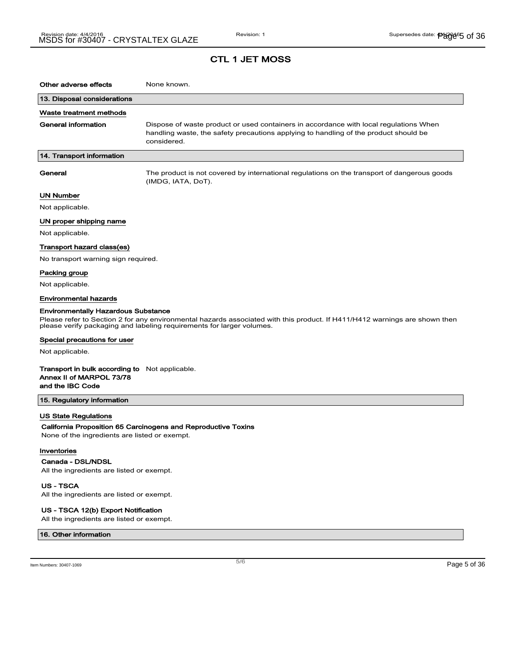| Other adverse effects                                                          | None known.                                                                                                                                                                                         |
|--------------------------------------------------------------------------------|-----------------------------------------------------------------------------------------------------------------------------------------------------------------------------------------------------|
| 13. Disposal considerations                                                    |                                                                                                                                                                                                     |
| Waste treatment methods                                                        |                                                                                                                                                                                                     |
| General information                                                            | Dispose of waste product or used containers in accordance with local regulations When<br>handling waste, the safety precautions applying to handling of the product should be<br>considered.        |
| 14. Transport information                                                      |                                                                                                                                                                                                     |
| General                                                                        | The product is not covered by international regulations on the transport of dangerous goods<br>(IMDG, IATA, DoT).                                                                                   |
| <b>UN Number</b>                                                               |                                                                                                                                                                                                     |
| Not applicable.                                                                |                                                                                                                                                                                                     |
| UN proper shipping name                                                        |                                                                                                                                                                                                     |
| Not applicable.                                                                |                                                                                                                                                                                                     |
| Transport hazard class(es)                                                     |                                                                                                                                                                                                     |
| No transport warning sign required.                                            |                                                                                                                                                                                                     |
| Packing group                                                                  |                                                                                                                                                                                                     |
| Not applicable.                                                                |                                                                                                                                                                                                     |
| <b>Environmental hazards</b>                                                   |                                                                                                                                                                                                     |
| <b>Environmentally Hazardous Substance</b>                                     | Please refer to Section 2 for any environmental hazards associated with this product. If H411/H412 warnings are shown then<br>please verify packaging and labeling requirements for larger volumes. |
| Special precautions for user                                                   |                                                                                                                                                                                                     |
| Not applicable.                                                                |                                                                                                                                                                                                     |
| Transport in bulk according to<br>Annex II of MARPOL 73/78<br>and the IBC Code | Not applicable.                                                                                                                                                                                     |
| 15. Regulatory information                                                     |                                                                                                                                                                                                     |
| US State Regulations                                                           |                                                                                                                                                                                                     |
| None of the ingredients are listed or exempt.                                  | California Proposition 65 Carcinogens and Reproductive Toxins                                                                                                                                       |
| Inventories                                                                    |                                                                                                                                                                                                     |

Canada - DSL/NDSL All the ingredients are listed or exempt.

US - TSCA All the ingredients are listed or exempt.

#### US - TSCA 12(b) Export Notification

All the ingredients are listed or exempt.

#### 16. Other information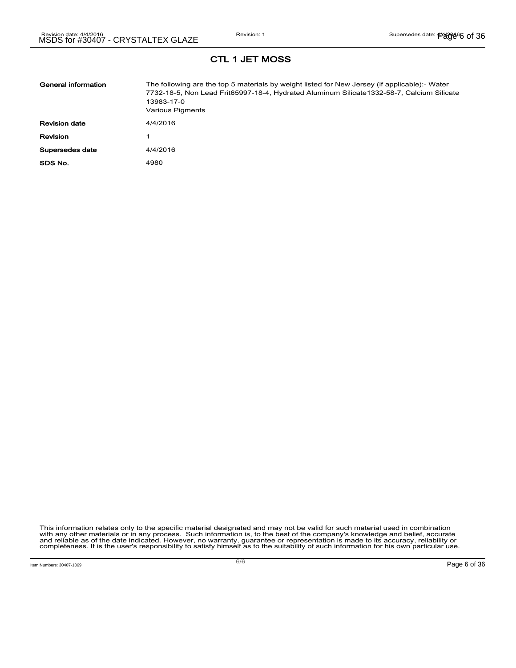| General information  | The following are the top 5 materials by weight listed for New Jersey (if applicable):- Water<br>7732-18-5, Non Lead Frit65997-18-4, Hydrated Aluminum Silicate1332-58-7, Calcium Silicate<br>13983-17-0<br>Various Pigments |
|----------------------|------------------------------------------------------------------------------------------------------------------------------------------------------------------------------------------------------------------------------|
| <b>Revision date</b> | 4/4/2016                                                                                                                                                                                                                     |
| Revision             |                                                                                                                                                                                                                              |
| Supersedes date      | 4/4/2016                                                                                                                                                                                                                     |
| SDS No.              | 4980                                                                                                                                                                                                                         |

This information relates only to the specific material designated and may not be valid for such material used in combination<br>with any other materials or in any process. Such information is, to the best of the company's kn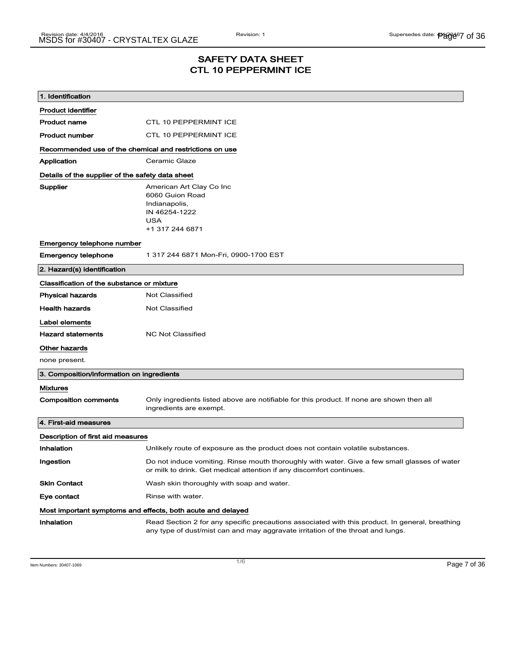## SAFETY DATA SHEET CTL 10 PEPPERMINT ICE

| 1. Identification                                       |                                                                                                                                                                                    |
|---------------------------------------------------------|------------------------------------------------------------------------------------------------------------------------------------------------------------------------------------|
| <b>Product identifier</b>                               |                                                                                                                                                                                    |
| <b>Product name</b>                                     | <b>CTL 10 PEPPERMINT ICE</b>                                                                                                                                                       |
| <b>Product number</b>                                   | <b>CTL 10 PEPPERMINT ICE</b>                                                                                                                                                       |
| Recommended use of the chemical and restrictions on use |                                                                                                                                                                                    |
| Application                                             | Ceramic Glaze                                                                                                                                                                      |
| Details of the supplier of the safety data sheet        |                                                                                                                                                                                    |
| Supplier                                                | American Art Clay Co Inc<br>6060 Guion Road<br>Indianapolis,<br>IN 46254-1222<br>USA<br>+1 317 244 6871                                                                            |
| Emergency telephone number                              |                                                                                                                                                                                    |
| Emergency telephone                                     | 1 317 244 6871 Mon-Fri, 0900-1700 EST                                                                                                                                              |
| 2. Hazard(s) identification                             |                                                                                                                                                                                    |
| Classification of the substance or mixture              |                                                                                                                                                                                    |
| <b>Physical hazards</b>                                 | Not Classified                                                                                                                                                                     |
| <b>Health hazards</b>                                   | Not Classified                                                                                                                                                                     |
| Label elements                                          |                                                                                                                                                                                    |
| <b>Hazard statements</b>                                | <b>NC Not Classified</b>                                                                                                                                                           |
| Other hazards                                           |                                                                                                                                                                                    |
| none present.                                           |                                                                                                                                                                                    |
| 3. Composition/information on ingredients               |                                                                                                                                                                                    |
| Mixtures                                                |                                                                                                                                                                                    |
| <b>Composition comments</b>                             | Only ingredients listed above are notifiable for this product. If none are shown then all<br>ingredients are exempt.                                                               |
| 4. First-aid measures                                   |                                                                                                                                                                                    |
| Description of first aid measures                       |                                                                                                                                                                                    |
| Inhalation                                              | Unlikely route of exposure as the product does not contain volatile substances.                                                                                                    |
| Ingestion                                               | Do not induce vomiting. Rinse mouth thoroughly with water. Give a few small glasses of water<br>or milk to drink. Get medical attention if any discomfort continues.               |
| <b>Skin Contact</b>                                     | Wash skin thoroughly with soap and water.                                                                                                                                          |
| Eye contact                                             | Rinse with water.                                                                                                                                                                  |
|                                                         | Most important symptoms and effects, both acute and delayed                                                                                                                        |
| <b>Inhalation</b>                                       | Read Section 2 for any specific precautions associated with this product. In general, breathing<br>any type of dust/mist can and may aggravate irritation of the throat and lungs. |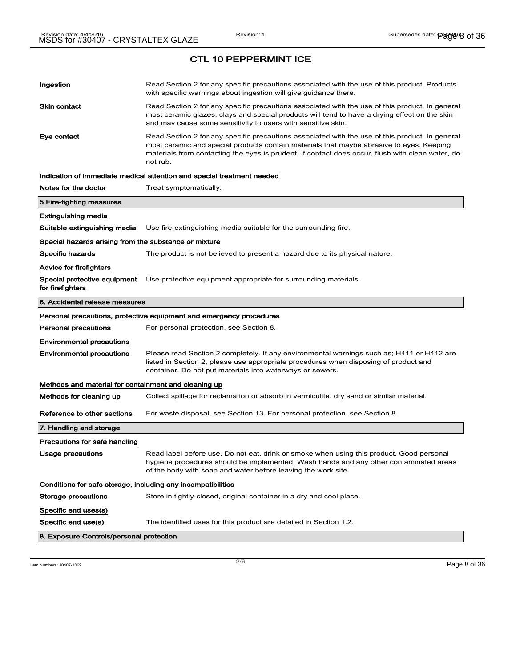| Ingestion                                                    | Read Section 2 for any specific precautions associated with the use of this product. Products<br>with specific warnings about ingestion will give guidance there.                                                                                                                                           |
|--------------------------------------------------------------|-------------------------------------------------------------------------------------------------------------------------------------------------------------------------------------------------------------------------------------------------------------------------------------------------------------|
| Skin contact                                                 | Read Section 2 for any specific precautions associated with the use of this product. In general<br>most ceramic glazes, clays and special products will tend to have a drying effect on the skin<br>and may cause some sensitivity to users with sensitive skin.                                            |
| Eye contact                                                  | Read Section 2 for any specific precautions associated with the use of this product. In general<br>most ceramic and special products contain materials that maybe abrasive to eyes. Keeping<br>materials from contacting the eyes is prudent. If contact does occur, flush with clean water, do<br>not rub. |
|                                                              | Indication of immediate medical attention and special treatment needed                                                                                                                                                                                                                                      |
| Notes for the doctor                                         | Treat symptomatically.                                                                                                                                                                                                                                                                                      |
| 5.Fire-fighting measures                                     |                                                                                                                                                                                                                                                                                                             |
| Extinguishing media                                          |                                                                                                                                                                                                                                                                                                             |
| Suitable extinguishing media                                 | Use fire-extinguishing media suitable for the surrounding fire.                                                                                                                                                                                                                                             |
| Special hazards arising from the substance or mixture        |                                                                                                                                                                                                                                                                                                             |
| Specific hazards                                             | The product is not believed to present a hazard due to its physical nature.                                                                                                                                                                                                                                 |
| Advice for firefighters                                      |                                                                                                                                                                                                                                                                                                             |
| Special protective equipment<br>for firefighters             | Use protective equipment appropriate for surrounding materials.                                                                                                                                                                                                                                             |
| 6. Accidental release measures                               |                                                                                                                                                                                                                                                                                                             |
|                                                              | Personal precautions, protective equipment and emergency procedures                                                                                                                                                                                                                                         |
| <b>Personal precautions</b>                                  | For personal protection, see Section 8.                                                                                                                                                                                                                                                                     |
| Environmental precautions                                    |                                                                                                                                                                                                                                                                                                             |
| Environmental precautions                                    | Please read Section 2 completely. If any environmental warnings such as; H411 or H412 are<br>listed in Section 2, please use appropriate procedures when disposing of product and<br>container. Do not put materials into waterways or sewers.                                                              |
| Methods and material for containment and cleaning up         |                                                                                                                                                                                                                                                                                                             |
| Methods for cleaning up                                      | Collect spillage for reclamation or absorb in vermiculite, dry sand or similar material.                                                                                                                                                                                                                    |
| Reference to other sections                                  | For waste disposal, see Section 13. For personal protection, see Section 8.                                                                                                                                                                                                                                 |
| 7. Handling and storage                                      |                                                                                                                                                                                                                                                                                                             |
| Precautions for safe handling                                |                                                                                                                                                                                                                                                                                                             |
| Usage precautions                                            | Read label before use. Do not eat, drink or smoke when using this product. Good personal                                                                                                                                                                                                                    |
|                                                              | hygiene procedures should be implemented. Wash hands and any other contaminated areas<br>of the body with soap and water before leaving the work site.                                                                                                                                                      |
| Conditions for safe storage, including any incompatibilities |                                                                                                                                                                                                                                                                                                             |
| Storage precautions                                          | Store in tightly-closed, original container in a dry and cool place.                                                                                                                                                                                                                                        |
| Specific end uses(s)                                         |                                                                                                                                                                                                                                                                                                             |
| Specific end use(s)                                          | The identified uses for this product are detailed in Section 1.2.                                                                                                                                                                                                                                           |
| 8. Exposure Controls/personal protection                     |                                                                                                                                                                                                                                                                                                             |

Item Numbers:  $30407-1069$   $Page 8 of 36$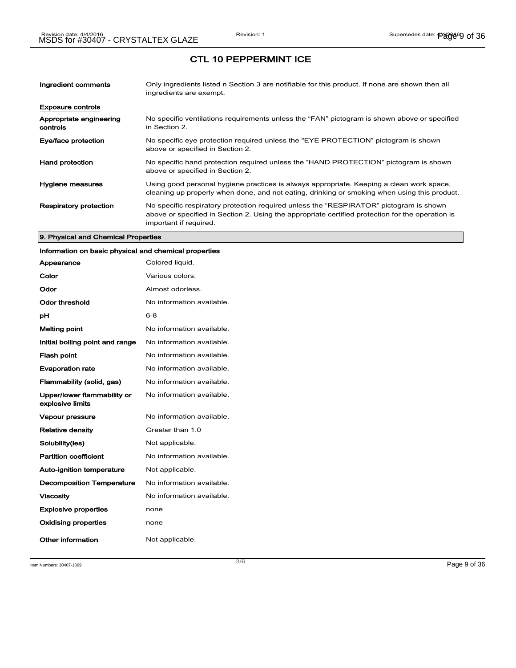| Ingredient comments                 | Only ingredients listed n Section 3 are notifiable for this product. If none are shown then all<br>ingredients are exempt.                                                                                           |
|-------------------------------------|----------------------------------------------------------------------------------------------------------------------------------------------------------------------------------------------------------------------|
| <b>Exposure controls</b>            |                                                                                                                                                                                                                      |
| Appropriate engineering<br>controls | No specific ventilations requirements unless the "FAN" pictogram is shown above or specified<br>in Section 2.                                                                                                        |
| Eye/face protection                 | No specific eye protection required unless the "EYE PROTECTION" pictogram is shown<br>above or specified in Section 2.                                                                                               |
| <b>Hand protection</b>              | No specific hand protection required unless the "HAND PROTECTION" pictogram is shown<br>above or specified in Section 2.                                                                                             |
| Hygiene measures                    | Using good personal hygiene practices is always appropriate. Keeping a clean work space,<br>cleaning up properly when done, and not eating, drinking or smoking when using this product.                             |
| <b>Respiratory protection</b>       | No specific respiratory protection required unless the "RESPIRATOR" pictogram is shown<br>above or specified in Section 2. Using the appropriate certified protection for the operation is<br>important if required. |

#### 9. Physical and Chemical Properties

## Information on basic physical and chemical properties

| Appearance                                      | Colored liquid.           |
|-------------------------------------------------|---------------------------|
| Color                                           | Various colors.           |
| Odor                                            | Almost odorless.          |
| Odor threshold                                  | No information available. |
| рH                                              | $6 - 8$                   |
| <b>Melting point</b>                            | No information available. |
| Initial boiling point and range                 | No information available. |
| <b>Flash point</b>                              | No information available. |
| <b>Evaporation rate</b>                         | No information available. |
| Flammability (solid, gas)                       | No information available. |
| Upper/lower flammability or<br>explosive limits | No information available. |
| Vapour pressure                                 | No information available. |
| <b>Relative density</b>                         | Greater than 1.0          |
| Solubility(ies)                                 | Not applicable.           |
| <b>Partition coefficient</b>                    | No information available. |
| <b>Auto-ignition temperature</b>                | Not applicable.           |
| <b>Decomposition Temperature</b>                | No information available. |
| <b>Viscosity</b>                                | No information available. |
| <b>Explosive properties</b>                     | none                      |
| <b>Oxidising properties</b>                     | none                      |
| Other information                               | Not applicable.           |

Item Numbers: 30407-1069 Page 9 of 36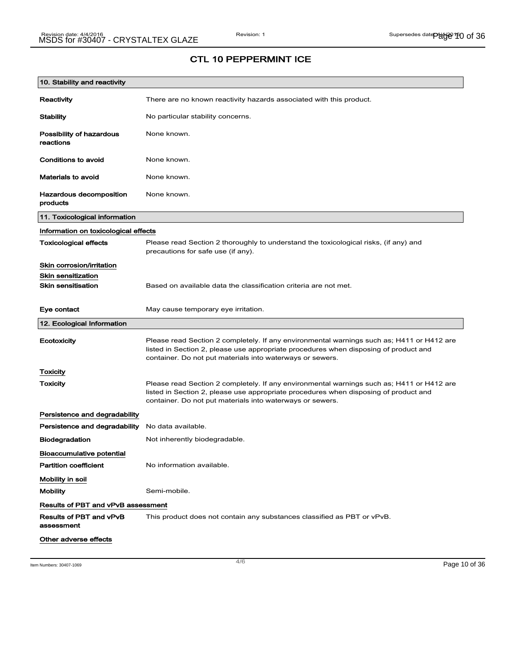| 10. Stability and reactivity              |                                                                                                                                                                                                                                                |
|-------------------------------------------|------------------------------------------------------------------------------------------------------------------------------------------------------------------------------------------------------------------------------------------------|
| Reactivity                                | There are no known reactivity hazards associated with this product.                                                                                                                                                                            |
| Stability                                 | No particular stability concerns.                                                                                                                                                                                                              |
| Possibility of hazardous<br>reactions     | None known.                                                                                                                                                                                                                                    |
| Conditions to avoid                       | None known.                                                                                                                                                                                                                                    |
| <b>Materials to avoid</b>                 | None known.                                                                                                                                                                                                                                    |
| Hazardous decomposition<br>products       | None known.                                                                                                                                                                                                                                    |
| 11. Toxicological information             |                                                                                                                                                                                                                                                |
| Information on toxicological effects      |                                                                                                                                                                                                                                                |
| <b>Toxicological effects</b>              | Please read Section 2 thoroughly to understand the toxicological risks, (if any) and<br>precautions for safe use (if any).                                                                                                                     |
| Skin corrosion/irritation                 |                                                                                                                                                                                                                                                |
| Skin sensitization                        |                                                                                                                                                                                                                                                |
| <b>Skin sensitisation</b>                 | Based on available data the classification criteria are not met.                                                                                                                                                                               |
| Eye contact                               | May cause temporary eye irritation.                                                                                                                                                                                                            |
| 12. Ecological Information                |                                                                                                                                                                                                                                                |
| Ecotoxicity                               | Please read Section 2 completely. If any environmental warnings such as; H411 or H412 are<br>listed in Section 2, please use appropriate procedures when disposing of product and<br>container. Do not put materials into waterways or sewers. |
| Toxicity                                  |                                                                                                                                                                                                                                                |
| Toxicity                                  | Please read Section 2 completely. If any environmental warnings such as; H411 or H412 are<br>listed in Section 2, please use appropriate procedures when disposing of product and<br>container. Do not put materials into waterways or sewers. |
| Persistence and degradability             |                                                                                                                                                                                                                                                |
| Persistence and degradability             | No data available.                                                                                                                                                                                                                             |
| <b>Biodegradation</b>                     | Not inherently biodegradable.                                                                                                                                                                                                                  |
| Bioaccumulative potential                 |                                                                                                                                                                                                                                                |
| <b>Partition coefficient</b>              | No information available.                                                                                                                                                                                                                      |
| Mobility in soil                          |                                                                                                                                                                                                                                                |
| <b>Mobility</b>                           | Semi-mobile.                                                                                                                                                                                                                                   |
| <b>Results of PBT and vPvB assessment</b> |                                                                                                                                                                                                                                                |
| Results of PBT and vPvB<br>assessment     | This product does not contain any substances classified as PBT or vPvB.                                                                                                                                                                        |
| Other adverse effects                     |                                                                                                                                                                                                                                                |

Item Numbers: 30407-1069 Page 10 of 36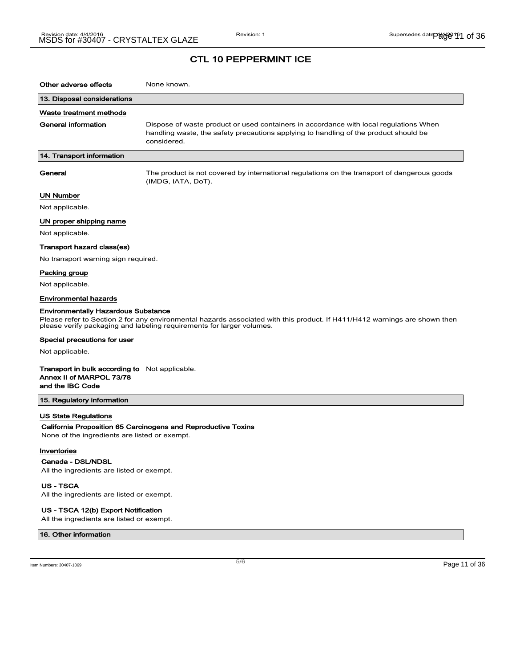| Other adverse effects                                                                                 | None known.                                                                                                                                                                                         |
|-------------------------------------------------------------------------------------------------------|-----------------------------------------------------------------------------------------------------------------------------------------------------------------------------------------------------|
| 13. Disposal considerations                                                                           |                                                                                                                                                                                                     |
| Waste treatment methods                                                                               |                                                                                                                                                                                                     |
| General information                                                                                   | Dispose of waste product or used containers in accordance with local regulations When<br>handling waste, the safety precautions applying to handling of the product should be<br>considered.        |
| 14. Transport information                                                                             |                                                                                                                                                                                                     |
| General                                                                                               | The product is not covered by international regulations on the transport of dangerous goods<br>(IMDG, IATA, DoT).                                                                                   |
| UN Number                                                                                             |                                                                                                                                                                                                     |
| Not applicable.                                                                                       |                                                                                                                                                                                                     |
| UN proper shipping name                                                                               |                                                                                                                                                                                                     |
| Not applicable.                                                                                       |                                                                                                                                                                                                     |
| Transport hazard class(es)                                                                            |                                                                                                                                                                                                     |
| No transport warning sign required.                                                                   |                                                                                                                                                                                                     |
| Packing group                                                                                         |                                                                                                                                                                                                     |
| Not applicable.                                                                                       |                                                                                                                                                                                                     |
| Environmental hazards                                                                                 |                                                                                                                                                                                                     |
| <b>Environmentally Hazardous Substance</b>                                                            |                                                                                                                                                                                                     |
|                                                                                                       | Please refer to Section 2 for any environmental hazards associated with this product. If H411/H412 warnings are shown then<br>please verify packaging and labeling requirements for larger volumes. |
| Special precautions for user                                                                          |                                                                                                                                                                                                     |
| Not applicable.                                                                                       |                                                                                                                                                                                                     |
| <b>Transport in bulk according to</b> Not applicable.<br>Annex II of MARPOL 73/78<br>and the IBC Code |                                                                                                                                                                                                     |
| 15. Regulatory information                                                                            |                                                                                                                                                                                                     |
| US State Regulations                                                                                  |                                                                                                                                                                                                     |
|                                                                                                       | California Proposition 65 Carcinogens and Reproductive Toxins                                                                                                                                       |
| None of the ingredients are listed or exempt.                                                         |                                                                                                                                                                                                     |
| Inventories                                                                                           |                                                                                                                                                                                                     |
| Canada - DSL/NDSL                                                                                     |                                                                                                                                                                                                     |
| All the ingredients are listed or exempt.                                                             |                                                                                                                                                                                                     |

US - TSCA

All the ingredients are listed or exempt.

#### US - TSCA 12(b) Export Notification

All the ingredients are listed or exempt.

### 16. Other information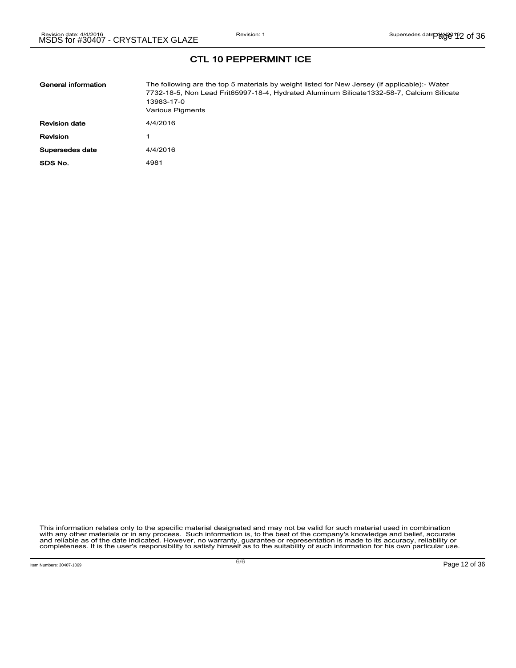| General information  | The following are the top 5 materials by weight listed for New Jersey (if applicable):- Water<br>7732-18-5, Non Lead Frit65997-18-4, Hydrated Aluminum Silicate1332-58-7, Calcium Silicate<br>13983-17-0<br>Various Pigments |
|----------------------|------------------------------------------------------------------------------------------------------------------------------------------------------------------------------------------------------------------------------|
| <b>Revision date</b> | 4/4/2016                                                                                                                                                                                                                     |
| Revision             |                                                                                                                                                                                                                              |
| Supersedes date      | 4/4/2016                                                                                                                                                                                                                     |
| SDS No.              | 4981                                                                                                                                                                                                                         |

This information relates only to the specific material designated and may not be valid for such material used in combination<br>with any other materials or in any process. Such information is, to the best of the company's kn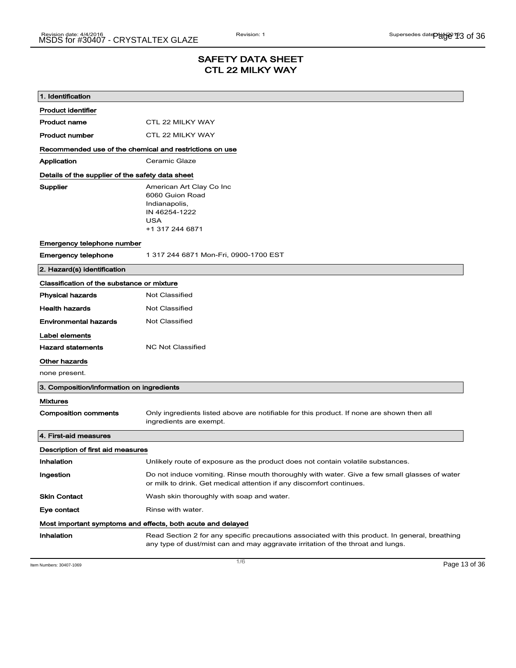## SAFETY DATA SHEET CTL 22 MILKY WAY

| 1. Identification                                       |                                                                                                                                                                                    |
|---------------------------------------------------------|------------------------------------------------------------------------------------------------------------------------------------------------------------------------------------|
| <b>Product identifier</b>                               |                                                                                                                                                                                    |
| <b>Product name</b>                                     | CTL 22 MILKY WAY                                                                                                                                                                   |
| <b>Product number</b>                                   | CTL 22 MILKY WAY                                                                                                                                                                   |
| Recommended use of the chemical and restrictions on use |                                                                                                                                                                                    |
| Application                                             | Ceramic Glaze                                                                                                                                                                      |
| Details of the supplier of the safety data sheet        |                                                                                                                                                                                    |
| Supplier                                                | American Art Clay Co Inc<br>6060 Guion Road<br>Indianapolis,<br>IN 46254-1222<br><b>USA</b><br>+1 317 244 6871                                                                     |
| Emergency telephone number                              |                                                                                                                                                                                    |
| <b>Emergency telephone</b>                              | 1 317 244 6871 Mon-Fri, 0900-1700 EST                                                                                                                                              |
| 2. Hazard(s) identification                             |                                                                                                                                                                                    |
| Classification of the substance or mixture              |                                                                                                                                                                                    |
| <b>Physical hazards</b>                                 | <b>Not Classified</b>                                                                                                                                                              |
| <b>Health hazards</b>                                   | Not Classified                                                                                                                                                                     |
| <b>Environmental hazards</b>                            | Not Classified                                                                                                                                                                     |
| Label elements                                          |                                                                                                                                                                                    |
| <b>Hazard statements</b>                                | <b>NC Not Classified</b>                                                                                                                                                           |
| Other hazards                                           |                                                                                                                                                                                    |
| none present.                                           |                                                                                                                                                                                    |
| 3. Composition/information on ingredients               |                                                                                                                                                                                    |
| <b>Mixtures</b>                                         |                                                                                                                                                                                    |
| <b>Composition comments</b>                             | Only ingredients listed above are notifiable for this product. If none are shown then all<br>ingredients are exempt.                                                               |
| 4. First-aid measures                                   |                                                                                                                                                                                    |
| Description of first aid measures                       |                                                                                                                                                                                    |
| Inhalation                                              | Unlikely route of exposure as the product does not contain volatile substances.                                                                                                    |
| Ingestion                                               | Do not induce vomiting. Rinse mouth thoroughly with water. Give a few small glasses of water<br>or milk to drink. Get medical attention if any discomfort continues.               |
| <b>Skin Contact</b>                                     | Wash skin thoroughly with soap and water.                                                                                                                                          |
| Eye contact                                             | Rinse with water.                                                                                                                                                                  |
|                                                         | Most important symptoms and effects, both acute and delayed                                                                                                                        |
| Inhalation                                              | Read Section 2 for any specific precautions associated with this product. In general, breathing<br>any type of dust/mist can and may aggravate irritation of the throat and lungs. |

Item Numbers: 30407-1069 Page 13 of 36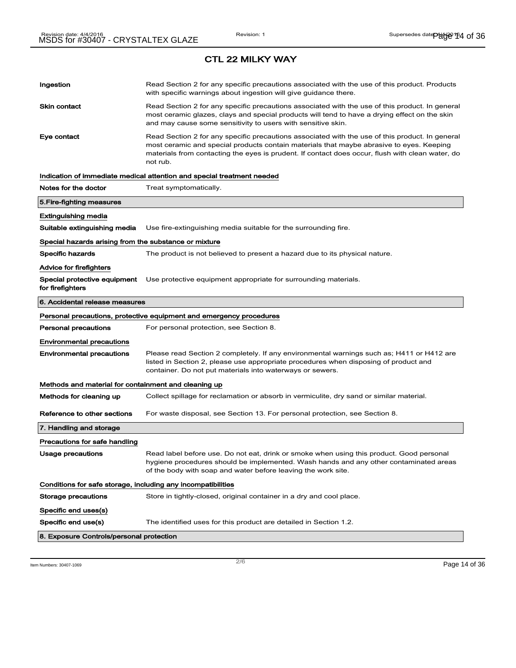# Ingestion **Read Section 2 for any specific precautions associated with the use of this product. Products** with specific warnings about ingestion will give guidance there. Skin contact **Read Section 2 for any specific precautions associated with the use of this product. In general** most ceramic glazes, clays and special products will tend to have a drying effect on the skin and may cause some sensitivity to users with sensitive skin. Eye contact **Read Section 2 for any specific precautions associated with the use of this product. In general** most ceramic and special products contain materials that maybe abrasive to eyes. Keeping materials from contacting the eyes is prudent. If contact does occur, flush with clean water, do not rub. Indication of immediate medical attention and special treatment needed Notes for the doctor Treat symptomatically. 5.Fire-fighting measures Extinguishing media Suitable extinguishing media Use fire-extinguishing media suitable for the surrounding fire. Special hazards arising from the substance or mixture Specific hazards The product is not believed to present a hazard due to its physical nature. Advice for firefighters Special protective equipment Use protective equipment appropriate for surrounding materials. for firefighters 6. Accidental release measures Personal precautions, protective equipment and emergency procedures Personal precautions For personal protection, see Section 8. Environmental precautions Environmental precautions Please read Section 2 completely. If any environmental warnings such as; H411 or H412 are listed in Section 2, please use appropriate procedures when disposing of product and container. Do not put materials into waterways or sewers. Methods and material for containment and cleaning up Methods for cleaning up Collect spillage for reclamation or absorb in vermiculite, dry sand or similar material. Reference to other sections For waste disposal, see Section 13. For personal protection, see Section 8. 7. Handling and storage Precautions for safe handling Usage precautions **Read label before use. Do not eat, drink or smoke when using this product. Good personal** hygiene procedures should be implemented. Wash hands and any other contaminated areas of the body with soap and water before leaving the work site. Conditions for safe storage, including any incompatibilities Storage precautions Store in tightly-closed, original container in a dry and cool place. Specific end uses(s) Specific end use(s) The identified uses for this product are detailed in Section 1.2. 8. Exposure Controls/personal protection

Item Numbers: 30407-1069 Page 14 of 36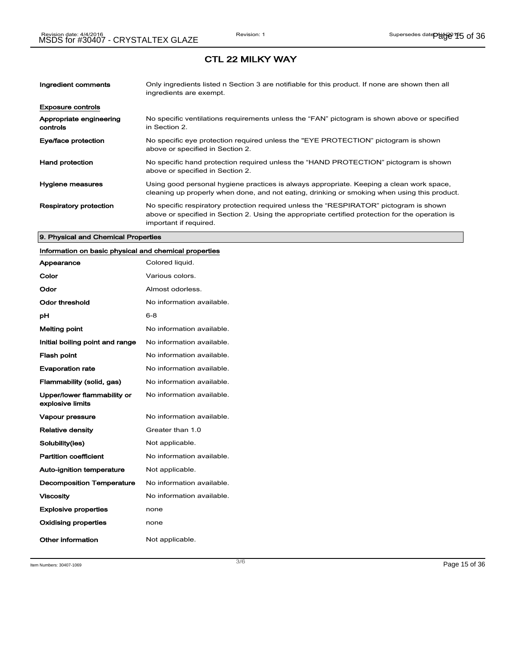| Ingredient comments                 | Only ingredients listed n Section 3 are notifiable for this product. If none are shown then all<br>ingredients are exempt.                                                                                           |
|-------------------------------------|----------------------------------------------------------------------------------------------------------------------------------------------------------------------------------------------------------------------|
| <b>Exposure controls</b>            |                                                                                                                                                                                                                      |
| Appropriate engineering<br>controls | No specific ventilations requirements unless the "FAN" pictogram is shown above or specified<br>in Section 2.                                                                                                        |
| Eye/face protection                 | No specific eye protection required unless the "EYE PROTECTION" pictogram is shown<br>above or specified in Section 2.                                                                                               |
| <b>Hand protection</b>              | No specific hand protection required unless the "HAND PROTECTION" pictogram is shown<br>above or specified in Section 2.                                                                                             |
| Hygiene measures                    | Using good personal hygiene practices is always appropriate. Keeping a clean work space,<br>cleaning up properly when done, and not eating, drinking or smoking when using this product.                             |
| <b>Respiratory protection</b>       | No specific respiratory protection required unless the "RESPIRATOR" pictogram is shown<br>above or specified in Section 2. Using the appropriate certified protection for the operation is<br>important if required. |

### 9. Physical and Chemical Properties

## Information on basic physical and chemical properties

| Appearance                                      | Colored liquid.           |
|-------------------------------------------------|---------------------------|
| Color                                           | Various colors.           |
| Odor                                            | Almost odorless.          |
| Odor threshold                                  | No information available. |
| рH                                              | $6 - 8$                   |
| <b>Melting point</b>                            | No information available. |
| Initial boiling point and range                 | No information available. |
| <b>Flash point</b>                              | No information available. |
| <b>Evaporation rate</b>                         | No information available. |
| Flammability (solid, gas)                       | No information available. |
| Upper/lower flammability or<br>explosive limits | No information available. |
| <b>Vapour pressure</b>                          | No information available. |
| <b>Relative density</b>                         | Greater than 1.0          |
| Solubility(ies)                                 | Not applicable.           |
| <b>Partition coefficient</b>                    | No information available. |
| <b>Auto-ignition temperature</b>                | Not applicable.           |
| <b>Decomposition Temperature</b>                | No information available. |
| <b>Viscosity</b>                                | No information available. |
| <b>Explosive properties</b>                     | none                      |
| Oxidising properties                            | none                      |
| Other information                               | Not applicable.           |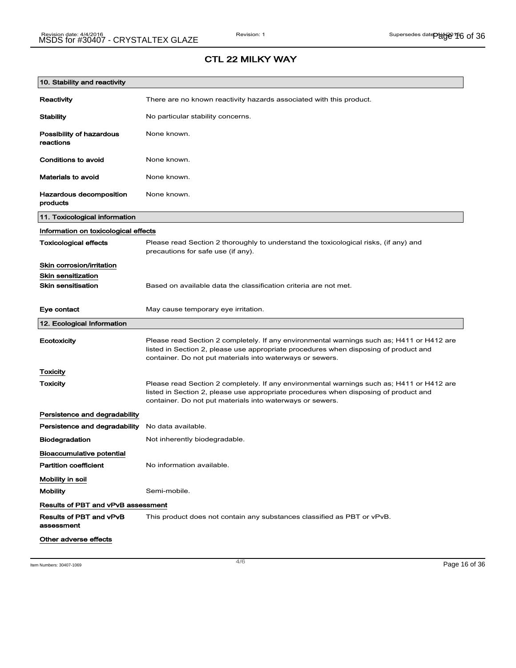| 10. Stability and reactivity          |                                                                                                                                                                                                                                                |
|---------------------------------------|------------------------------------------------------------------------------------------------------------------------------------------------------------------------------------------------------------------------------------------------|
| Reactivity                            | There are no known reactivity hazards associated with this product.                                                                                                                                                                            |
| <b>Stability</b>                      | No particular stability concerns.                                                                                                                                                                                                              |
| Possibility of hazardous<br>reactions | None known.                                                                                                                                                                                                                                    |
| Conditions to avoid                   | None known.                                                                                                                                                                                                                                    |
| <b>Materials to avoid</b>             | None known.                                                                                                                                                                                                                                    |
| Hazardous decomposition<br>products   | None known.                                                                                                                                                                                                                                    |
| 11. Toxicological information         |                                                                                                                                                                                                                                                |
| Information on toxicological effects  |                                                                                                                                                                                                                                                |
| <b>Toxicological effects</b>          | Please read Section 2 thoroughly to understand the toxicological risks, (if any) and<br>precautions for safe use (if any).                                                                                                                     |
| Skin corrosion/irritation             |                                                                                                                                                                                                                                                |
| <b>Skin sensitization</b>             |                                                                                                                                                                                                                                                |
| <b>Skin sensitisation</b>             | Based on available data the classification criteria are not met.                                                                                                                                                                               |
| Eye contact                           | May cause temporary eye irritation.                                                                                                                                                                                                            |
| 12. Ecological Information            |                                                                                                                                                                                                                                                |
| Ecotoxicity                           | Please read Section 2 completely. If any environmental warnings such as; H411 or H412 are<br>listed in Section 2, please use appropriate procedures when disposing of product and<br>container. Do not put materials into waterways or sewers. |
| Toxicity                              |                                                                                                                                                                                                                                                |
| Toxicity                              | Please read Section 2 completely. If any environmental warnings such as; H411 or H412 are<br>listed in Section 2, please use appropriate procedures when disposing of product and<br>container. Do not put materials into waterways or sewers. |
| Persistence and degradability         |                                                                                                                                                                                                                                                |
| Persistence and degradability         | No data available.                                                                                                                                                                                                                             |
| <b>Biodegradation</b>                 | Not inherently biodegradable.                                                                                                                                                                                                                  |
| <b>Bioaccumulative potential</b>      |                                                                                                                                                                                                                                                |
| <b>Partition coefficient</b>          | No information available.                                                                                                                                                                                                                      |
| Mobility in soil                      |                                                                                                                                                                                                                                                |
| <b>Mobility</b>                       | Semi-mobile.                                                                                                                                                                                                                                   |
| Results of PBT and vPvB assessment    |                                                                                                                                                                                                                                                |
| Results of PBT and vPvB<br>assessment | This product does not contain any substances classified as PBT or vPvB.                                                                                                                                                                        |
| Other adverse effects                 |                                                                                                                                                                                                                                                |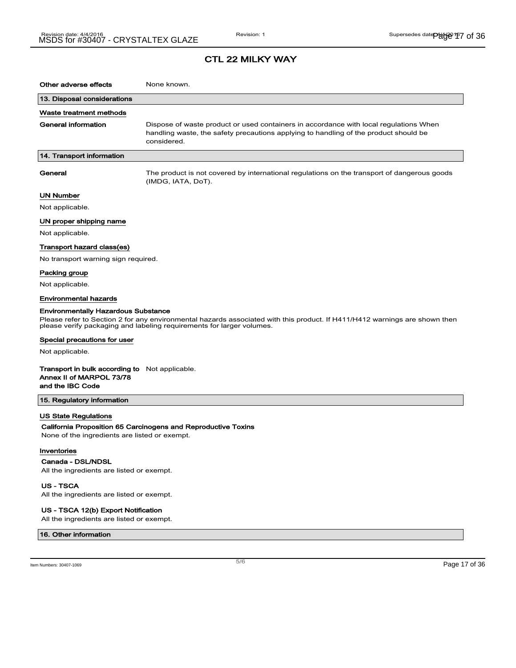## CTL 22 MILKY WAY

| Other adverse effects                                                                                 | None known.                                                                                                                                                                                         |
|-------------------------------------------------------------------------------------------------------|-----------------------------------------------------------------------------------------------------------------------------------------------------------------------------------------------------|
| 13. Disposal considerations                                                                           |                                                                                                                                                                                                     |
| Waste treatment methods                                                                               |                                                                                                                                                                                                     |
| <b>General information</b>                                                                            | Dispose of waste product or used containers in accordance with local regulations When<br>handling waste, the safety precautions applying to handling of the product should be<br>considered.        |
| 14. Transport information                                                                             |                                                                                                                                                                                                     |
| General                                                                                               | The product is not covered by international regulations on the transport of dangerous goods<br>(IMDG, IATA, DoT).                                                                                   |
| <b>UN Number</b>                                                                                      |                                                                                                                                                                                                     |
| Not applicable.                                                                                       |                                                                                                                                                                                                     |
| UN proper shipping name                                                                               |                                                                                                                                                                                                     |
| Not applicable.                                                                                       |                                                                                                                                                                                                     |
| Transport hazard class(es)                                                                            |                                                                                                                                                                                                     |
| No transport warning sign required.                                                                   |                                                                                                                                                                                                     |
| Packing group                                                                                         |                                                                                                                                                                                                     |
| Not applicable.                                                                                       |                                                                                                                                                                                                     |
| <b>Environmental hazards</b>                                                                          |                                                                                                                                                                                                     |
| <b>Environmentally Hazardous Substance</b>                                                            | Please refer to Section 2 for any environmental hazards associated with this product. If H411/H412 warnings are shown then<br>please verify packaging and labeling requirements for larger volumes. |
| Special precautions for user                                                                          |                                                                                                                                                                                                     |
| Not applicable.                                                                                       |                                                                                                                                                                                                     |
| <b>Transport in bulk according to</b> Not applicable.<br>Annex II of MARPOL 73/78<br>and the IBC Code |                                                                                                                                                                                                     |
| 15. Regulatory information                                                                            |                                                                                                                                                                                                     |
| <b>US State Regulations</b><br>None of the ingredients are listed or exempt.                          | California Proposition 65 Carcinogens and Reproductive Toxins                                                                                                                                       |
| Inventories<br>Canada - DSL/NDSL<br>All the ingredients are listed or exempt.                         |                                                                                                                                                                                                     |

US - TSCA

All the ingredients are listed or exempt.

#### US - TSCA 12(b) Export Notification

All the ingredients are listed or exempt.

#### 16. Other information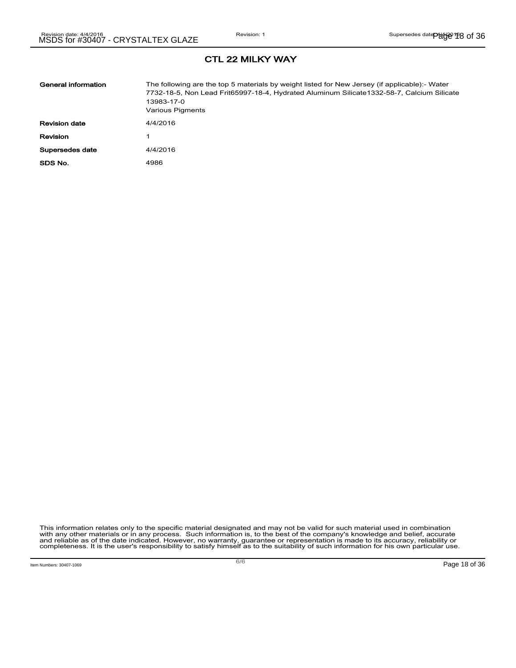| General information  | The following are the top 5 materials by weight listed for New Jersey (if applicable):- Water<br>7732-18-5, Non Lead Frit65997-18-4, Hydrated Aluminum Silicate1332-58-7, Calcium Silicate<br>13983-17-0<br>Various Pigments |
|----------------------|------------------------------------------------------------------------------------------------------------------------------------------------------------------------------------------------------------------------------|
| <b>Revision date</b> | 4/4/2016                                                                                                                                                                                                                     |
| Revision             |                                                                                                                                                                                                                              |
| Supersedes date      | 4/4/2016                                                                                                                                                                                                                     |
| SDS No.              | 4986                                                                                                                                                                                                                         |

This information relates only to the specific material designated and may not be valid for such material used in combination<br>with any other materials or in any process. Such information is, to the best of the company's kn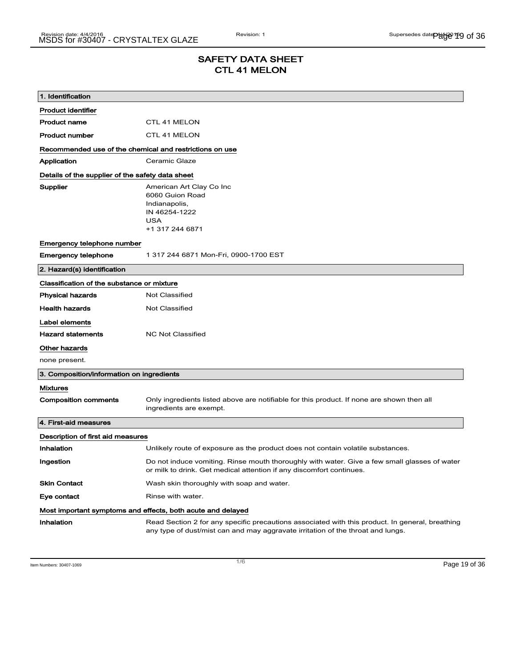# SAFETY DATA SHEET CTL 41 MELON

| 1. Identification                                                            |                                                                                                                                                                                    |
|------------------------------------------------------------------------------|------------------------------------------------------------------------------------------------------------------------------------------------------------------------------------|
| <b>Product identifier</b>                                                    |                                                                                                                                                                                    |
| <b>Product name</b>                                                          | CTL 41 MELON                                                                                                                                                                       |
| <b>Product number</b>                                                        | <b>CTL 41 MELON</b>                                                                                                                                                                |
| Recommended use of the chemical and restrictions on use                      |                                                                                                                                                                                    |
| Application                                                                  | Ceramic Glaze                                                                                                                                                                      |
| Details of the supplier of the safety data sheet                             |                                                                                                                                                                                    |
| Supplier                                                                     | American Art Clay Co Inc<br>6060 Guion Road<br>Indianapolis,<br>IN 46254-1222<br><b>USA</b><br>+1 317 244 6871                                                                     |
| Emergency telephone number                                                   |                                                                                                                                                                                    |
| <b>Emergency telephone</b>                                                   | 1 317 244 6871 Mon-Fri, 0900-1700 EST                                                                                                                                              |
| 2. Hazard(s) identification                                                  |                                                                                                                                                                                    |
| Classification of the substance or mixture                                   |                                                                                                                                                                                    |
| <b>Physical hazards</b>                                                      | <b>Not Classified</b>                                                                                                                                                              |
| <b>Health hazards</b>                                                        | Not Classified                                                                                                                                                                     |
| Label elements<br><b>Hazard statements</b><br>Other hazards<br>none present. | <b>NC Not Classified</b>                                                                                                                                                           |
| 3. Composition/information on ingredients                                    |                                                                                                                                                                                    |
| <b>Mixtures</b>                                                              |                                                                                                                                                                                    |
| <b>Composition comments</b>                                                  | Only ingredients listed above are notifiable for this product. If none are shown then all<br>ingredients are exempt.                                                               |
| 4. First-aid measures                                                        |                                                                                                                                                                                    |
| Description of first aid measures                                            |                                                                                                                                                                                    |
| Inhalation                                                                   | Unlikely route of exposure as the product does not contain volatile substances.                                                                                                    |
| Ingestion                                                                    | Do not induce vomiting. Rinse mouth thoroughly with water. Give a few small glasses of water<br>or milk to drink. Get medical attention if any discomfort continues.               |
| <b>Skin Contact</b>                                                          | Wash skin thoroughly with soap and water.                                                                                                                                          |
| Eye contact                                                                  | Rinse with water.                                                                                                                                                                  |
|                                                                              | Most important symptoms and effects, both acute and delayed                                                                                                                        |
| Inhalation                                                                   | Read Section 2 for any specific precautions associated with this product. In general, breathing<br>any type of dust/mist can and may aggravate irritation of the throat and lungs. |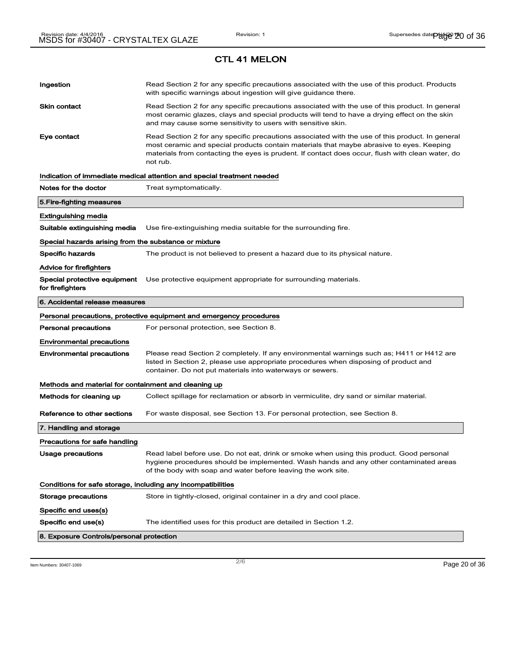# Ingestion **Read Section 2 for any specific precautions associated with the use of this product. Products** with specific warnings about ingestion will give guidance there. Skin contact **Read Section 2 for any specific precautions associated with the use of this product. In general** most ceramic glazes, clays and special products will tend to have a drying effect on the skin and may cause some sensitivity to users with sensitive skin. Eye contact **Read Section 2 for any specific precautions associated with the use of this product. In general** most ceramic and special products contain materials that maybe abrasive to eyes. Keeping materials from contacting the eyes is prudent. If contact does occur, flush with clean water, do not rub. Indication of immediate medical attention and special treatment needed Notes for the doctor Treat symptomatically. 5.Fire-fighting measures Extinguishing media Suitable extinguishing media Use fire-extinguishing media suitable for the surrounding fire. Special hazards arising from the substance or mixture Specific hazards The product is not believed to present a hazard due to its physical nature. Advice for firefighters Special protective equipment Use protective equipment appropriate for surrounding materials. for firefighters 6. Accidental release measures Personal precautions, protective equipment and emergency procedures Personal precautions For personal protection, see Section 8. Environmental precautions Environmental precautions Please read Section 2 completely. If any environmental warnings such as; H411 or H412 are listed in Section 2, please use appropriate procedures when disposing of product and container. Do not put materials into waterways or sewers. Methods and material for containment and cleaning up Methods for cleaning up Collect spillage for reclamation or absorb in vermiculite, dry sand or similar material. Reference to other sections For waste disposal, see Section 13. For personal protection, see Section 8. 7. Handling and storage Precautions for safe handling Usage precautions **Read label before use. Do not eat, drink or smoke when using this product. Good personal** hygiene procedures should be implemented. Wash hands and any other contaminated areas of the body with soap and water before leaving the work site. Conditions for safe storage, including any incompatibilities Storage precautions Store in tightly-closed, original container in a dry and cool place. Specific end uses(s) Specific end use(s) The identified uses for this product are detailed in Section 1.2. 8. Exposure Controls/personal protection

Item Numbers: 30407-1069 Page 20 of 36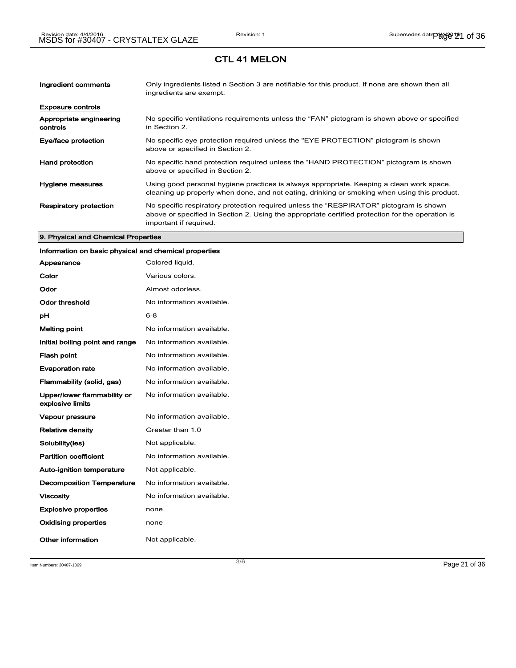| Ingredient comments                 | Only ingredients listed n Section 3 are notifiable for this product. If none are shown then all<br>ingredients are exempt.                                                                                           |
|-------------------------------------|----------------------------------------------------------------------------------------------------------------------------------------------------------------------------------------------------------------------|
| <b>Exposure controls</b>            |                                                                                                                                                                                                                      |
| Appropriate engineering<br>controls | No specific ventilations requirements unless the "FAN" pictogram is shown above or specified<br>in Section 2.                                                                                                        |
| Eye/face protection                 | No specific eye protection required unless the "EYE PROTECTION" pictogram is shown<br>above or specified in Section 2.                                                                                               |
| <b>Hand protection</b>              | No specific hand protection required unless the "HAND PROTECTION" pictogram is shown<br>above or specified in Section 2.                                                                                             |
| Hygiene measures                    | Using good personal hygiene practices is always appropriate. Keeping a clean work space,<br>cleaning up properly when done, and not eating, drinking or smoking when using this product.                             |
| <b>Respiratory protection</b>       | No specific respiratory protection required unless the "RESPIRATOR" pictogram is shown<br>above or specified in Section 2. Using the appropriate certified protection for the operation is<br>important if required. |

#### 9. Physical and Chemical Properties

## Information on basic physical and chemical properties

| Appearance                                      | Colored liquid.           |
|-------------------------------------------------|---------------------------|
| Color                                           | Various colors.           |
| Odor                                            | Almost odorless.          |
| Odor threshold                                  | No information available. |
| рH                                              | $6 - 8$                   |
| <b>Melting point</b>                            | No information available. |
| Initial boiling point and range                 | No information available. |
| <b>Flash point</b>                              | No information available. |
| <b>Evaporation rate</b>                         | No information available. |
| Flammability (solid, gas)                       | No information available. |
| Upper/lower flammability or<br>explosive limits | No information available. |
| Vapour pressure                                 | No information available. |
| <b>Relative density</b>                         | Greater than 1.0          |
| Solubility(ies)                                 | Not applicable.           |
| <b>Partition coefficient</b>                    | No information available. |
| <b>Auto-ignition temperature</b>                | Not applicable.           |
| <b>Decomposition Temperature</b>                | No information available. |
| <b>Viscosity</b>                                | No information available. |
| <b>Explosive properties</b>                     | none                      |
| <b>Oxidising properties</b>                     | none                      |
| Other information                               | Not applicable.           |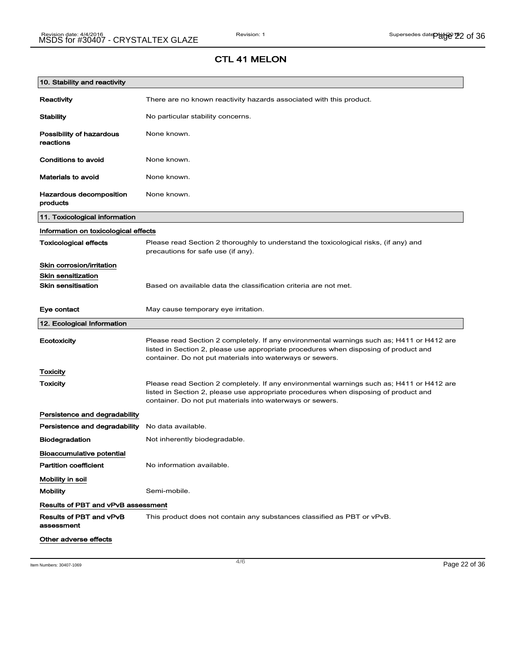| 10. Stability and reactivity              |                                                                                                                                                                                                                                                |
|-------------------------------------------|------------------------------------------------------------------------------------------------------------------------------------------------------------------------------------------------------------------------------------------------|
| Reactivity                                | There are no known reactivity hazards associated with this product.                                                                                                                                                                            |
| <b>Stability</b>                          | No particular stability concerns.                                                                                                                                                                                                              |
| Possibility of hazardous<br>reactions     | None known.                                                                                                                                                                                                                                    |
| Conditions to avoid                       | None known.                                                                                                                                                                                                                                    |
| <b>Materials to avoid</b>                 | None known.                                                                                                                                                                                                                                    |
| Hazardous decomposition<br>products       | None known.                                                                                                                                                                                                                                    |
| 11. Toxicological information             |                                                                                                                                                                                                                                                |
| Information on toxicological effects      |                                                                                                                                                                                                                                                |
| <b>Toxicological effects</b>              | Please read Section 2 thoroughly to understand the toxicological risks, (if any) and<br>precautions for safe use (if any).                                                                                                                     |
| Skin corrosion/irritation                 |                                                                                                                                                                                                                                                |
| <b>Skin sensitization</b>                 |                                                                                                                                                                                                                                                |
| <b>Skin sensitisation</b>                 | Based on available data the classification criteria are not met.                                                                                                                                                                               |
| Eye contact                               | May cause temporary eye irritation.                                                                                                                                                                                                            |
|                                           |                                                                                                                                                                                                                                                |
| 12. Ecological Information                |                                                                                                                                                                                                                                                |
| Ecotoxicity                               | Please read Section 2 completely. If any environmental warnings such as; H411 or H412 are<br>listed in Section 2, please use appropriate procedures when disposing of product and<br>container. Do not put materials into waterways or sewers. |
| Toxicity                                  |                                                                                                                                                                                                                                                |
| <b>Toxicity</b>                           | Please read Section 2 completely. If any environmental warnings such as; H411 or H412 are<br>listed in Section 2, please use appropriate procedures when disposing of product and<br>container. Do not put materials into waterways or sewers. |
| Persistence and degradability             |                                                                                                                                                                                                                                                |
| Persistence and degradability             | No data available.                                                                                                                                                                                                                             |
| <b>Biodegradation</b>                     | Not inherently biodegradable.                                                                                                                                                                                                                  |
| <b>Bioaccumulative potential</b>          |                                                                                                                                                                                                                                                |
| <b>Partition coefficient</b>              | No information available.                                                                                                                                                                                                                      |
| Mobility in soil                          |                                                                                                                                                                                                                                                |
| <b>Mobility</b>                           | Semi-mobile.                                                                                                                                                                                                                                   |
| <b>Results of PBT and vPvB assessment</b> |                                                                                                                                                                                                                                                |
| Results of PBT and vPvB<br>assessment     | This product does not contain any substances classified as PBT or vPvB.                                                                                                                                                                        |

Item Numbers: 30407-1069 Page 22 of 36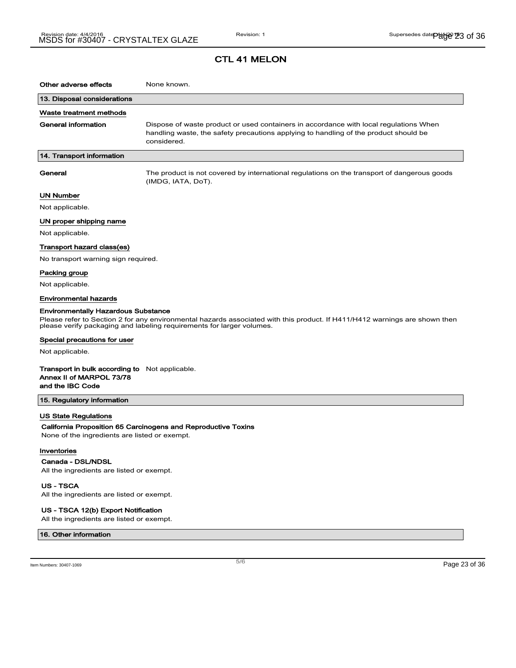## CTL 41 MELON

| 13. Disposal considerations<br>Waste treatment methods<br><b>General information</b><br>Dispose of waste product or used containers in accordance with local regulations When<br>handling waste, the safety precautions applying to handling of the product should be<br>considered.<br>14. Transport information<br>General<br>The product is not covered by international regulations on the transport of dangerous goods<br>(IMDG, IATA, DoT).<br>UN Number<br>Not applicable.<br>UN proper shipping name<br>Not applicable.<br>Transport hazard class(es)<br>No transport warning sign required.<br>Packing group<br>Not applicable.<br>Environmental hazards<br><b>Environmentally Hazardous Substance</b><br>Please refer to Section 2 for any environmental hazards associated with this product. If H411/H412 warnings are shown then<br>please verify packaging and labeling requirements for larger volumes.<br>Special precautions for user<br>Not applicable.<br><b>Transport in bulk according to</b> Not applicable.<br>Annex II of MARPOL 73/78<br>and the IBC Code<br>15. Regulatory information | Other adverse effects | None known. |
|------------------------------------------------------------------------------------------------------------------------------------------------------------------------------------------------------------------------------------------------------------------------------------------------------------------------------------------------------------------------------------------------------------------------------------------------------------------------------------------------------------------------------------------------------------------------------------------------------------------------------------------------------------------------------------------------------------------------------------------------------------------------------------------------------------------------------------------------------------------------------------------------------------------------------------------------------------------------------------------------------------------------------------------------------------------------------------------------------------------|-----------------------|-------------|
|                                                                                                                                                                                                                                                                                                                                                                                                                                                                                                                                                                                                                                                                                                                                                                                                                                                                                                                                                                                                                                                                                                                  |                       |             |
|                                                                                                                                                                                                                                                                                                                                                                                                                                                                                                                                                                                                                                                                                                                                                                                                                                                                                                                                                                                                                                                                                                                  |                       |             |
|                                                                                                                                                                                                                                                                                                                                                                                                                                                                                                                                                                                                                                                                                                                                                                                                                                                                                                                                                                                                                                                                                                                  |                       |             |
|                                                                                                                                                                                                                                                                                                                                                                                                                                                                                                                                                                                                                                                                                                                                                                                                                                                                                                                                                                                                                                                                                                                  |                       |             |
|                                                                                                                                                                                                                                                                                                                                                                                                                                                                                                                                                                                                                                                                                                                                                                                                                                                                                                                                                                                                                                                                                                                  |                       |             |
|                                                                                                                                                                                                                                                                                                                                                                                                                                                                                                                                                                                                                                                                                                                                                                                                                                                                                                                                                                                                                                                                                                                  |                       |             |
|                                                                                                                                                                                                                                                                                                                                                                                                                                                                                                                                                                                                                                                                                                                                                                                                                                                                                                                                                                                                                                                                                                                  |                       |             |
|                                                                                                                                                                                                                                                                                                                                                                                                                                                                                                                                                                                                                                                                                                                                                                                                                                                                                                                                                                                                                                                                                                                  |                       |             |
|                                                                                                                                                                                                                                                                                                                                                                                                                                                                                                                                                                                                                                                                                                                                                                                                                                                                                                                                                                                                                                                                                                                  |                       |             |
|                                                                                                                                                                                                                                                                                                                                                                                                                                                                                                                                                                                                                                                                                                                                                                                                                                                                                                                                                                                                                                                                                                                  |                       |             |
|                                                                                                                                                                                                                                                                                                                                                                                                                                                                                                                                                                                                                                                                                                                                                                                                                                                                                                                                                                                                                                                                                                                  |                       |             |
|                                                                                                                                                                                                                                                                                                                                                                                                                                                                                                                                                                                                                                                                                                                                                                                                                                                                                                                                                                                                                                                                                                                  |                       |             |
|                                                                                                                                                                                                                                                                                                                                                                                                                                                                                                                                                                                                                                                                                                                                                                                                                                                                                                                                                                                                                                                                                                                  |                       |             |
|                                                                                                                                                                                                                                                                                                                                                                                                                                                                                                                                                                                                                                                                                                                                                                                                                                                                                                                                                                                                                                                                                                                  |                       |             |
|                                                                                                                                                                                                                                                                                                                                                                                                                                                                                                                                                                                                                                                                                                                                                                                                                                                                                                                                                                                                                                                                                                                  |                       |             |
|                                                                                                                                                                                                                                                                                                                                                                                                                                                                                                                                                                                                                                                                                                                                                                                                                                                                                                                                                                                                                                                                                                                  |                       |             |
|                                                                                                                                                                                                                                                                                                                                                                                                                                                                                                                                                                                                                                                                                                                                                                                                                                                                                                                                                                                                                                                                                                                  |                       |             |
|                                                                                                                                                                                                                                                                                                                                                                                                                                                                                                                                                                                                                                                                                                                                                                                                                                                                                                                                                                                                                                                                                                                  |                       |             |
|                                                                                                                                                                                                                                                                                                                                                                                                                                                                                                                                                                                                                                                                                                                                                                                                                                                                                                                                                                                                                                                                                                                  |                       |             |
| <b>US State Regulations</b><br>California Proposition 65 Carcinogens and Reproductive Toxins<br>None of the ingredients are listed or exempt.<br>Inventories                                                                                                                                                                                                                                                                                                                                                                                                                                                                                                                                                                                                                                                                                                                                                                                                                                                                                                                                                     |                       |             |
| Canada - DSL/NDSL<br>All the ingredients are listed or exempt.                                                                                                                                                                                                                                                                                                                                                                                                                                                                                                                                                                                                                                                                                                                                                                                                                                                                                                                                                                                                                                                   |                       |             |

US - TSCA

All the ingredients are listed or exempt.

#### US - TSCA 12(b) Export Notification

All the ingredients are listed or exempt.

### 16. Other information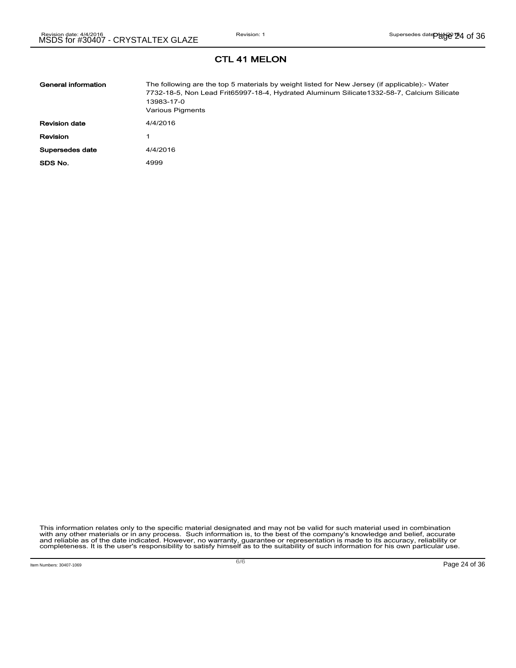| General information  | The following are the top 5 materials by weight listed for New Jersey (if applicable):- Water<br>7732-18-5, Non Lead Frit65997-18-4, Hydrated Aluminum Silicate1332-58-7, Calcium Silicate<br>13983-17-0<br>Various Pigments |
|----------------------|------------------------------------------------------------------------------------------------------------------------------------------------------------------------------------------------------------------------------|
| <b>Revision date</b> | 4/4/2016                                                                                                                                                                                                                     |
| Revision             |                                                                                                                                                                                                                              |
| Supersedes date      | 4/4/2016                                                                                                                                                                                                                     |
| SDS No.              | 4999                                                                                                                                                                                                                         |

This information relates only to the specific material designated and may not be valid for such material used in combination<br>with any other materials or in any process. Such information is, to the best of the company's kn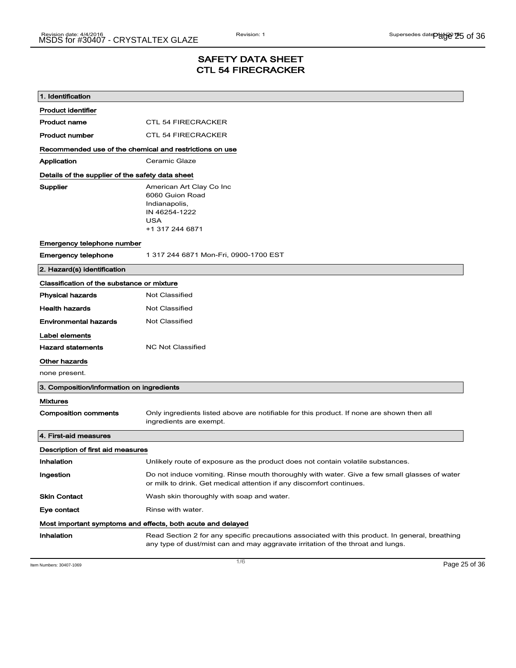## SAFETY DATA SHEET CTL 54 FIRECRACKER

| 1. Identification                                       |                                                                                                                                                                                    |  |
|---------------------------------------------------------|------------------------------------------------------------------------------------------------------------------------------------------------------------------------------------|--|
| <b>Product identifier</b>                               |                                                                                                                                                                                    |  |
| <b>Product name</b>                                     | <b>CTL 54 FIRECRACKER</b>                                                                                                                                                          |  |
| <b>Product number</b>                                   | <b>CTL 54 FIRECRACKER</b>                                                                                                                                                          |  |
| Recommended use of the chemical and restrictions on use |                                                                                                                                                                                    |  |
| Application                                             | Ceramic Glaze                                                                                                                                                                      |  |
| Details of the supplier of the safety data sheet        |                                                                                                                                                                                    |  |
| Supplier                                                | American Art Clay Co Inc<br>6060 Guion Road<br>Indianapolis,<br>IN 46254-1222<br>USA<br>+1 317 244 6871                                                                            |  |
| Emergency telephone number                              |                                                                                                                                                                                    |  |
| <b>Emergency telephone</b>                              | 1 317 244 6871 Mon-Fri, 0900-1700 EST                                                                                                                                              |  |
| 2. Hazard(s) identification                             |                                                                                                                                                                                    |  |
| Classification of the substance or mixture              |                                                                                                                                                                                    |  |
| <b>Physical hazards</b>                                 | <b>Not Classified</b>                                                                                                                                                              |  |
| <b>Health hazards</b>                                   | Not Classified                                                                                                                                                                     |  |
| <b>Environmental hazards</b>                            | <b>Not Classified</b>                                                                                                                                                              |  |
| Label elements                                          |                                                                                                                                                                                    |  |
| <b>Hazard statements</b>                                | <b>NC Not Classified</b>                                                                                                                                                           |  |
| Other hazards                                           |                                                                                                                                                                                    |  |
| none present.                                           |                                                                                                                                                                                    |  |
| 3. Composition/information on ingredients               |                                                                                                                                                                                    |  |
| <b>Mixtures</b>                                         |                                                                                                                                                                                    |  |
| <b>Composition comments</b>                             | Only ingredients listed above are notifiable for this product. If none are shown then all<br>ingredients are exempt.                                                               |  |
| 4. First-aid measures                                   |                                                                                                                                                                                    |  |
| Description of first aid measures                       |                                                                                                                                                                                    |  |
| Inhalation                                              | Unlikely route of exposure as the product does not contain volatile substances.                                                                                                    |  |
| Ingestion                                               | Do not induce vomiting. Rinse mouth thoroughly with water. Give a few small glasses of water<br>or milk to drink. Get medical attention if any discomfort continues.               |  |
| <b>Skin Contact</b>                                     | Wash skin thoroughly with soap and water.                                                                                                                                          |  |
| Eye contact                                             | Rinse with water.                                                                                                                                                                  |  |
|                                                         | Most important symptoms and effects, both acute and delayed                                                                                                                        |  |
| Inhalation                                              | Read Section 2 for any specific precautions associated with this product. In general, breathing<br>any type of dust/mist can and may aggravate irritation of the throat and lungs. |  |

Item Numbers: 30407-1069 Page 25 of 36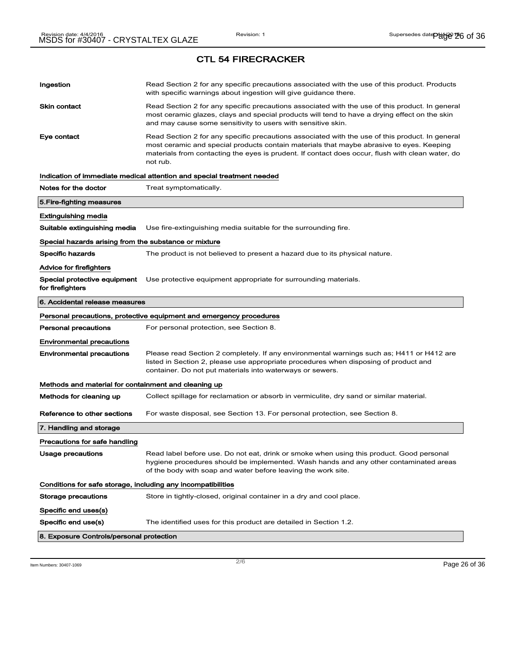| Ingestion                                                    | Read Section 2 for any specific precautions associated with the use of this product. Products<br>with specific warnings about ingestion will give guidance there.                                                                                                                                           |
|--------------------------------------------------------------|-------------------------------------------------------------------------------------------------------------------------------------------------------------------------------------------------------------------------------------------------------------------------------------------------------------|
| Skin contact                                                 | Read Section 2 for any specific precautions associated with the use of this product. In general<br>most ceramic glazes, clays and special products will tend to have a drying effect on the skin<br>and may cause some sensitivity to users with sensitive skin.                                            |
| Eye contact                                                  | Read Section 2 for any specific precautions associated with the use of this product. In general<br>most ceramic and special products contain materials that maybe abrasive to eyes. Keeping<br>materials from contacting the eyes is prudent. If contact does occur, flush with clean water, do<br>not rub. |
|                                                              | Indication of immediate medical attention and special treatment needed                                                                                                                                                                                                                                      |
| Notes for the doctor                                         | Treat symptomatically.                                                                                                                                                                                                                                                                                      |
| 5.Fire-fighting measures                                     |                                                                                                                                                                                                                                                                                                             |
| Extinguishing media                                          |                                                                                                                                                                                                                                                                                                             |
| Suitable extinguishing media                                 | Use fire-extinguishing media suitable for the surrounding fire.                                                                                                                                                                                                                                             |
| Special hazards arising from the substance or mixture        |                                                                                                                                                                                                                                                                                                             |
| Specific hazards                                             | The product is not believed to present a hazard due to its physical nature.                                                                                                                                                                                                                                 |
| Advice for firefighters                                      |                                                                                                                                                                                                                                                                                                             |
| Special protective equipment<br>for firefighters             | Use protective equipment appropriate for surrounding materials.                                                                                                                                                                                                                                             |
| 6. Accidental release measures                               |                                                                                                                                                                                                                                                                                                             |
|                                                              |                                                                                                                                                                                                                                                                                                             |
|                                                              | Personal precautions, protective equipment and emergency procedures                                                                                                                                                                                                                                         |
| Personal precautions                                         | For personal protection, see Section 8.                                                                                                                                                                                                                                                                     |
| Environmental precautions                                    |                                                                                                                                                                                                                                                                                                             |
| Environmental precautions                                    | Please read Section 2 completely. If any environmental warnings such as; H411 or H412 are<br>listed in Section 2, please use appropriate procedures when disposing of product and<br>container. Do not put materials into waterways or sewers.                                                              |
| Methods and material for containment and cleaning up         |                                                                                                                                                                                                                                                                                                             |
| Methods for cleaning up                                      | Collect spillage for reclamation or absorb in vermiculite, dry sand or similar material.                                                                                                                                                                                                                    |
| Reference to other sections                                  | For waste disposal, see Section 13. For personal protection, see Section 8.                                                                                                                                                                                                                                 |
| 7. Handling and storage                                      |                                                                                                                                                                                                                                                                                                             |
| Precautions for safe handling                                |                                                                                                                                                                                                                                                                                                             |
| Usage precautions                                            | Read label before use. Do not eat, drink or smoke when using this product. Good personal<br>hygiene procedures should be implemented. Wash hands and any other contaminated areas<br>of the body with soap and water before leaving the work site.                                                          |
| Conditions for safe storage, including any incompatibilities |                                                                                                                                                                                                                                                                                                             |
| Storage precautions                                          | Store in tightly-closed, original container in a dry and cool place.                                                                                                                                                                                                                                        |
| Specific end uses(s)                                         |                                                                                                                                                                                                                                                                                                             |
| Specific end use(s)                                          | The identified uses for this product are detailed in Section 1.2.                                                                                                                                                                                                                                           |

# CTL 54 FIRECRACKER

Item Numbers: 30407-1069 Page 26 of 36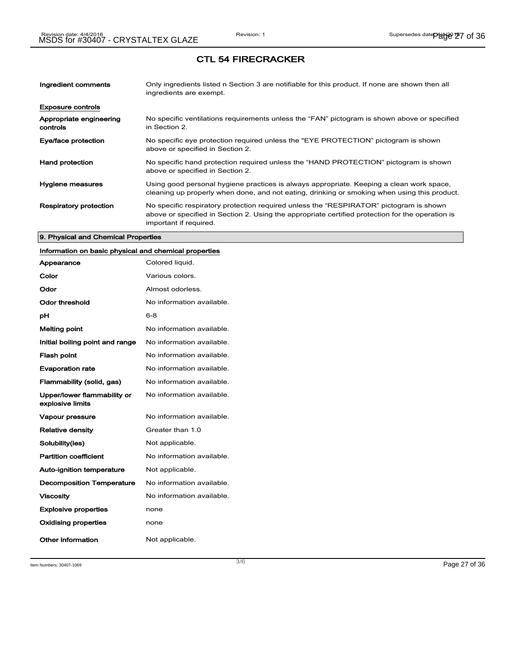## CTL 54 FIRECRACKER

| Ingredient comments                 | Only ingredients listed n Section 3 are notifiable for this product. If none are shown then all<br>ingredients are exempt.                                                                                           |
|-------------------------------------|----------------------------------------------------------------------------------------------------------------------------------------------------------------------------------------------------------------------|
| <b>Exposure controls</b>            |                                                                                                                                                                                                                      |
| Appropriate engineering<br>controls | No specific ventilations requirements unless the "FAN" pictogram is shown above or specified<br>in Section 2.                                                                                                        |
| Eye/face protection                 | No specific eye protection required unless the "EYE PROTECTION" pictogram is shown<br>above or specified in Section 2.                                                                                               |
| <b>Hand protection</b>              | No specific hand protection required unless the "HAND PROTECTION" pictogram is shown<br>above or specified in Section 2.                                                                                             |
| Hygiene measures                    | Using good personal hygiene practices is always appropriate. Keeping a clean work space,<br>cleaning up properly when done, and not eating, drinking or smoking when using this product.                             |
| <b>Respiratory protection</b>       | No specific respiratory protection required unless the "RESPIRATOR" pictogram is shown<br>above or specified in Section 2. Using the appropriate certified protection for the operation is<br>important if required. |

#### 9. Physical and Chemical Properties

## Information on basic physical and chemical properties

| Appearance                                      | Colored liquid.           |
|-------------------------------------------------|---------------------------|
| Color                                           | Various colors.           |
| Odor                                            | Almost odorless.          |
| <b>Odor threshold</b>                           | No information available. |
| рH                                              | $6 - 8$                   |
| Melting point                                   | No information available. |
| Initial boiling point and range                 | No information available. |
| <b>Flash point</b>                              | No information available. |
| <b>Evaporation rate</b>                         | No information available. |
| Flammability (solid, gas)                       | No information available. |
| Upper/lower flammability or<br>explosive limits | No information available. |
| Vapour pressure                                 | No information available. |
| <b>Relative density</b>                         | Greater than 1.0          |
| Solubility(ies)                                 | Not applicable.           |
| <b>Partition coefficient</b>                    | No information available. |
| <b>Auto-ignition temperature</b>                | Not applicable.           |
| <b>Decomposition Temperature</b>                | No information available. |
| <b>Viscosity</b>                                | No information available. |
| <b>Explosive properties</b>                     | none                      |
| <b>Oxidising properties</b>                     | none                      |
| Other information                               | Not applicable.           |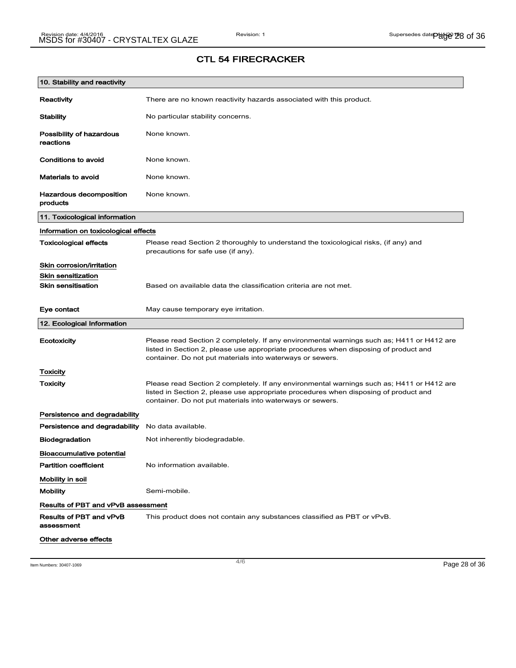# 10. Stability and reactivity Reactivity There are no known reactivity hazards associated with this product. Stability Mo particular stability concerns. Possibility of hazardous reactions None known. Conditions to avoid None known. Materials to avoid None known. Hazardous decomposition products None known. 11. Toxicological information Information on toxicological effects Toxicological effects Please read Section 2 thoroughly to understand the toxicological risks, (if any) and precautions for safe use (if any). Skin corrosion/irritation Skin sensitization **Skin sensitisation** Based on available data the classification criteria are not met. Eye contact May cause temporary eye irritation. 12. Ecological Information Ecotoxicity Please read Section 2 completely. If any environmental warnings such as; H411 or H412 are listed in Section 2, please use appropriate procedures when disposing of product and container. Do not put materials into waterways or sewers. **Toxicity** Toxicity **Please read Section 2 completely. If any environmental warnings such as; H411 or H412 are** listed in Section 2, please use appropriate procedures when disposing of product and container. Do not put materials into waterways or sewers. Persistence and degradability Persistence and degradability No data available. Biodegradation Not inherently biodegradable. Bioaccumulative potential Partition coefficient No information available. Mobility in soil Mobility Semi-mobile. Results of PBT and vPvB assessment Results of PBT and vPvB assessment This product does not contain any substances classified as PBT or vPvB. Other adverse effects

## CTL 54 FIRECRACKER

Item Numbers: 30407-1069 Page 28 of 36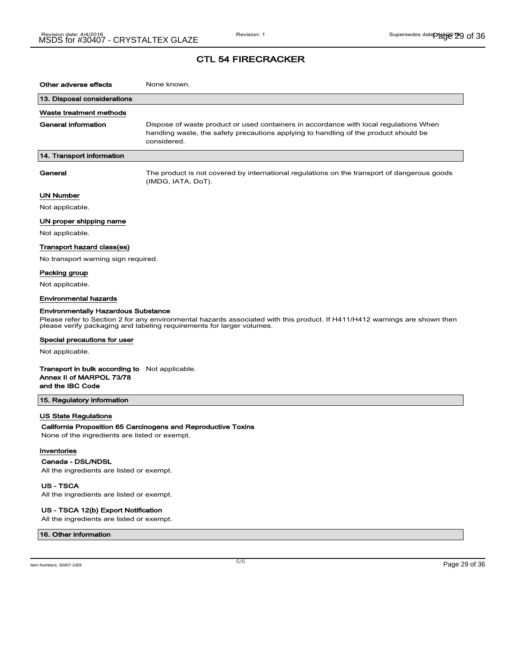## CTL 54 FIRECRACKER

| Other adverse effects                                                                                                                                                                                                                             | None known.                                                                                                                                                                                  |  |
|---------------------------------------------------------------------------------------------------------------------------------------------------------------------------------------------------------------------------------------------------|----------------------------------------------------------------------------------------------------------------------------------------------------------------------------------------------|--|
| 13. Disposal considerations                                                                                                                                                                                                                       |                                                                                                                                                                                              |  |
| Waste treatment methods                                                                                                                                                                                                                           |                                                                                                                                                                                              |  |
| <b>General information</b>                                                                                                                                                                                                                        | Dispose of waste product or used containers in accordance with local regulations When<br>handling waste, the safety precautions applying to handling of the product should be<br>considered. |  |
| 14. Transport information                                                                                                                                                                                                                         |                                                                                                                                                                                              |  |
| General                                                                                                                                                                                                                                           | The product is not covered by international regulations on the transport of dangerous goods<br>(IMDG, IATA, DoT).                                                                            |  |
| UN Number                                                                                                                                                                                                                                         |                                                                                                                                                                                              |  |
| Not applicable.                                                                                                                                                                                                                                   |                                                                                                                                                                                              |  |
| UN proper shipping name                                                                                                                                                                                                                           |                                                                                                                                                                                              |  |
| Not applicable.                                                                                                                                                                                                                                   |                                                                                                                                                                                              |  |
| Transport hazard class(es)                                                                                                                                                                                                                        |                                                                                                                                                                                              |  |
| No transport warning sign required.                                                                                                                                                                                                               |                                                                                                                                                                                              |  |
| Packing group                                                                                                                                                                                                                                     |                                                                                                                                                                                              |  |
| Not applicable.                                                                                                                                                                                                                                   |                                                                                                                                                                                              |  |
| <b>Environmental hazards</b>                                                                                                                                                                                                                      |                                                                                                                                                                                              |  |
| <b>Environmentally Hazardous Substance</b><br>Please refer to Section 2 for any environmental hazards associated with this product. If H411/H412 warnings are shown then<br>please verify packaging and labeling requirements for larger volumes. |                                                                                                                                                                                              |  |
| Special precautions for user                                                                                                                                                                                                                      |                                                                                                                                                                                              |  |
| Not applicable.                                                                                                                                                                                                                                   |                                                                                                                                                                                              |  |
| <b>Transport in bulk according to</b> Not applicable.<br>Annex II of MARPOL 73/78<br>and the IBC Code                                                                                                                                             |                                                                                                                                                                                              |  |
| 15. Regulatory information                                                                                                                                                                                                                        |                                                                                                                                                                                              |  |
| <b>US State Regulations</b><br>None of the ingredients are listed or exempt.<br>Inventories                                                                                                                                                       | California Proposition 65 Carcinogens and Reproductive Toxins                                                                                                                                |  |
| Canada - DSL/NDSL                                                                                                                                                                                                                                 |                                                                                                                                                                                              |  |
| All the ingredients are listed or exempt.                                                                                                                                                                                                         |                                                                                                                                                                                              |  |

US - TSCA

All the ingredients are listed or exempt.

#### US - TSCA 12(b) Export Notification

All the ingredients are listed or exempt.

### 16. Other information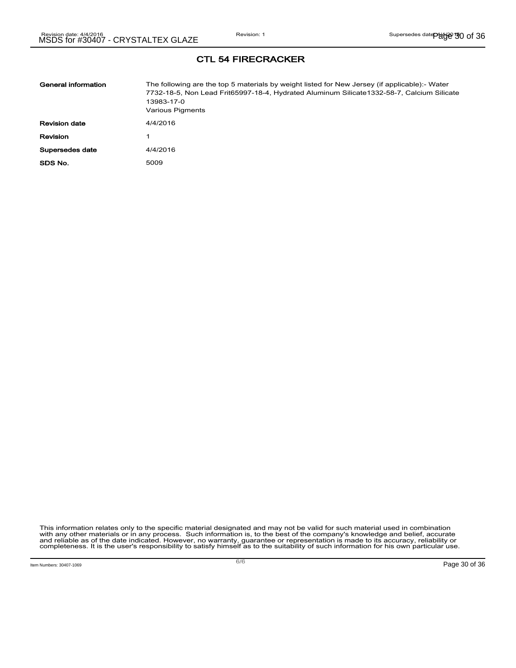CTL 54 FIRECRACKER

| General information  | The following are the top 5 materials by weight listed for New Jersey (if applicable):- Water<br>7732-18-5, Non Lead Frit65997-18-4, Hydrated Aluminum Silicate1332-58-7, Calcium Silicate<br>13983-17-0<br>Various Pigments |
|----------------------|------------------------------------------------------------------------------------------------------------------------------------------------------------------------------------------------------------------------------|
| <b>Revision date</b> | 4/4/2016                                                                                                                                                                                                                     |
| <b>Revision</b>      |                                                                                                                                                                                                                              |
| Supersedes date      | 4/4/2016                                                                                                                                                                                                                     |
| SDS No.              | 5009                                                                                                                                                                                                                         |

This information relates only to the specific material designated and may not be valid for such material used in combination<br>with any other materials or in any process. Such information is, to the best of the company's kn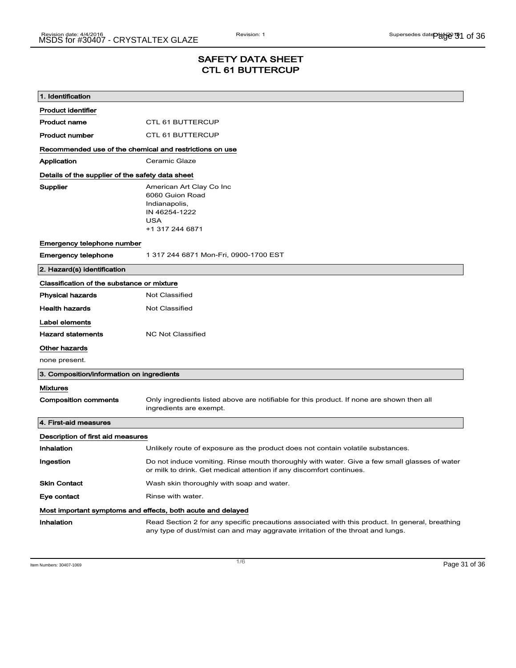## SAFETY DATA SHEET CTL 61 BUTTERCUP

| 1. Identification                                       |                                                                                                                                                                                    |  |
|---------------------------------------------------------|------------------------------------------------------------------------------------------------------------------------------------------------------------------------------------|--|
| <b>Product identifier</b>                               |                                                                                                                                                                                    |  |
| <b>Product name</b>                                     | <b>CTL 61 BUTTERCUP</b>                                                                                                                                                            |  |
| <b>Product number</b>                                   | <b>CTL 61 BUTTERCUP</b>                                                                                                                                                            |  |
| Recommended use of the chemical and restrictions on use |                                                                                                                                                                                    |  |
| Application                                             | Ceramic Glaze                                                                                                                                                                      |  |
| Details of the supplier of the safety data sheet        |                                                                                                                                                                                    |  |
| Supplier                                                | American Art Clay Co Inc<br>6060 Guion Road<br>Indianapolis,<br>IN 46254-1222<br><b>USA</b><br>+1 317 244 6871                                                                     |  |
| Emergency telephone number                              |                                                                                                                                                                                    |  |
| <b>Emergency telephone</b>                              | 1 317 244 6871 Mon-Fri, 0900-1700 EST                                                                                                                                              |  |
| 2. Hazard(s) identification                             |                                                                                                                                                                                    |  |
| Classification of the substance or mixture              |                                                                                                                                                                                    |  |
| <b>Physical hazards</b>                                 | <b>Not Classified</b>                                                                                                                                                              |  |
| <b>Health hazards</b>                                   | Not Classified                                                                                                                                                                     |  |
| Label elements                                          |                                                                                                                                                                                    |  |
| <b>Hazard statements</b>                                | <b>NC Not Classified</b>                                                                                                                                                           |  |
| Other hazards                                           |                                                                                                                                                                                    |  |
| none present.                                           |                                                                                                                                                                                    |  |
| 3. Composition/information on ingredients               |                                                                                                                                                                                    |  |
| <b>Mixtures</b>                                         |                                                                                                                                                                                    |  |
| <b>Composition comments</b>                             | Only ingredients listed above are notifiable for this product. If none are shown then all<br>ingredients are exempt.                                                               |  |
| 4. First-aid measures                                   |                                                                                                                                                                                    |  |
| Description of first aid measures                       |                                                                                                                                                                                    |  |
| Inhalation                                              | Unlikely route of exposure as the product does not contain volatile substances.                                                                                                    |  |
| Ingestion                                               | Do not induce vomiting. Rinse mouth thoroughly with water. Give a few small glasses of water<br>or milk to drink. Get medical attention if any discomfort continues.               |  |
| <b>Skin Contact</b>                                     | Wash skin thoroughly with soap and water.                                                                                                                                          |  |
| Eye contact                                             | Rinse with water.                                                                                                                                                                  |  |
|                                                         | Most important symptoms and effects, both acute and delayed                                                                                                                        |  |
| Inhalation                                              | Read Section 2 for any specific precautions associated with this product. In general, breathing<br>any type of dust/mist can and may aggravate irritation of the throat and lungs. |  |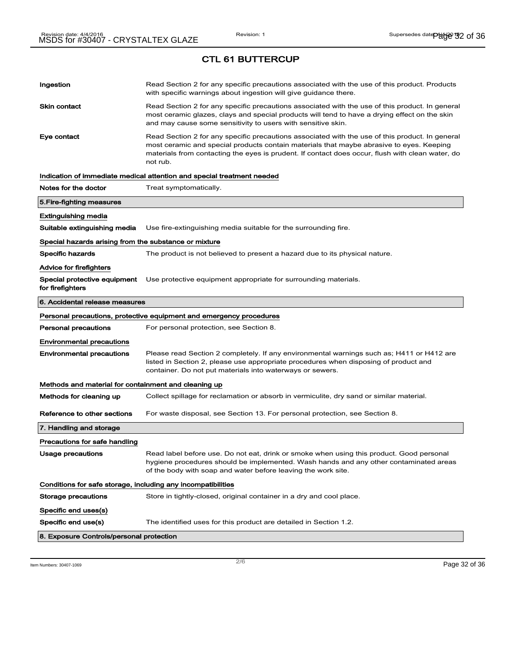CTL 61 BUTTERCUP

| Ingestion                                                    | Read Section 2 for any specific precautions associated with the use of this product. Products<br>with specific warnings about ingestion will give guidance there.                                                                                                                                           |
|--------------------------------------------------------------|-------------------------------------------------------------------------------------------------------------------------------------------------------------------------------------------------------------------------------------------------------------------------------------------------------------|
| <b>Skin contact</b>                                          | Read Section 2 for any specific precautions associated with the use of this product. In general<br>most ceramic glazes, clays and special products will tend to have a drying effect on the skin<br>and may cause some sensitivity to users with sensitive skin.                                            |
| Eye contact                                                  | Read Section 2 for any specific precautions associated with the use of this product. In general<br>most ceramic and special products contain materials that maybe abrasive to eyes. Keeping<br>materials from contacting the eyes is prudent. If contact does occur, flush with clean water, do<br>not rub. |
|                                                              | Indication of immediate medical attention and special treatment needed                                                                                                                                                                                                                                      |
| Notes for the doctor                                         | Treat symptomatically.                                                                                                                                                                                                                                                                                      |
| 5. Fire-fighting measures                                    |                                                                                                                                                                                                                                                                                                             |
| <b>Extinguishing media</b>                                   |                                                                                                                                                                                                                                                                                                             |
| Suitable extinguishing media                                 | Use fire-extinguishing media suitable for the surrounding fire.                                                                                                                                                                                                                                             |
| Special hazards arising from the substance or mixture        |                                                                                                                                                                                                                                                                                                             |
| <b>Specific hazards</b>                                      | The product is not believed to present a hazard due to its physical nature.                                                                                                                                                                                                                                 |
| Advice for firefighters                                      |                                                                                                                                                                                                                                                                                                             |
| Special protective equipment<br>for firefighters             | Use protective equipment appropriate for surrounding materials.                                                                                                                                                                                                                                             |
| 6. Accidental release measures                               |                                                                                                                                                                                                                                                                                                             |
|                                                              | Personal precautions, protective equipment and emergency procedures                                                                                                                                                                                                                                         |
| <b>Personal precautions</b>                                  | For personal protection, see Section 8.                                                                                                                                                                                                                                                                     |
| <b>Environmental precautions</b>                             |                                                                                                                                                                                                                                                                                                             |
| <b>Environmental precautions</b>                             | Please read Section 2 completely. If any environmental warnings such as; H411 or H412 are<br>listed in Section 2, please use appropriate procedures when disposing of product and<br>container. Do not put materials into waterways or sewers.                                                              |
| Methods and material for containment and cleaning up         |                                                                                                                                                                                                                                                                                                             |
| Methods for cleaning up                                      | Collect spillage for reclamation or absorb in vermiculite, dry sand or similar material.                                                                                                                                                                                                                    |
| Reference to other sections                                  | For waste disposal, see Section 13. For personal protection, see Section 8.                                                                                                                                                                                                                                 |
| 7. Handling and storage                                      |                                                                                                                                                                                                                                                                                                             |
| Precautions for safe handling                                |                                                                                                                                                                                                                                                                                                             |
| Usage precautions                                            | Read label before use. Do not eat, drink or smoke when using this product. Good personal<br>hygiene procedures should be implemented. Wash hands and any other contaminated areas<br>of the body with soap and water before leaving the work site.                                                          |
| Conditions for safe storage, including any incompatibilities |                                                                                                                                                                                                                                                                                                             |
| Storage precautions                                          | Store in tightly-closed, original container in a dry and cool place.                                                                                                                                                                                                                                        |
| Specific end uses(s)                                         |                                                                                                                                                                                                                                                                                                             |
| Specific end use(s)                                          | The identified uses for this product are detailed in Section 1.2.                                                                                                                                                                                                                                           |
| 8. Exposure Controls/personal protection                     |                                                                                                                                                                                                                                                                                                             |

Item Numbers: 30407-1069 Page 32 of 36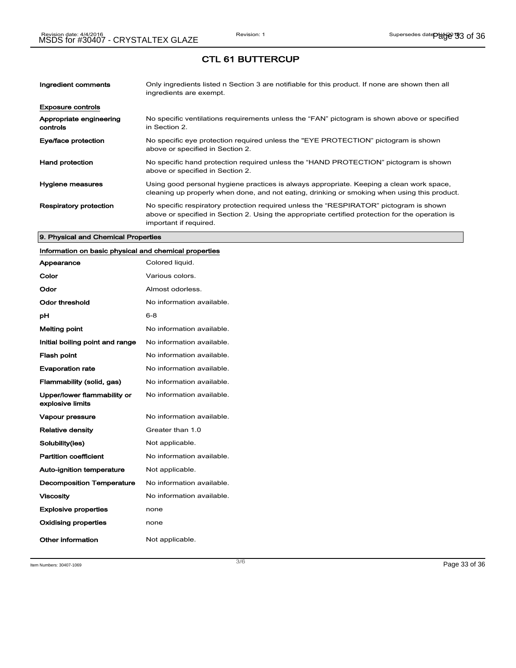## CTL 61 BUTTERCUP

| Ingredient comments                 | Only ingredients listed n Section 3 are notifiable for this product. If none are shown then all<br>ingredients are exempt.                                                                                           |
|-------------------------------------|----------------------------------------------------------------------------------------------------------------------------------------------------------------------------------------------------------------------|
| <b>Exposure controls</b>            |                                                                                                                                                                                                                      |
| Appropriate engineering<br>controls | No specific ventilations requirements unless the "FAN" pictogram is shown above or specified<br>in Section 2.                                                                                                        |
| Eye/face protection                 | No specific eye protection required unless the "EYE PROTECTION" pictogram is shown<br>above or specified in Section 2.                                                                                               |
| <b>Hand protection</b>              | No specific hand protection required unless the "HAND PROTECTION" pictogram is shown<br>above or specified in Section 2.                                                                                             |
| Hygiene measures                    | Using good personal hygiene practices is always appropriate. Keeping a clean work space,<br>cleaning up properly when done, and not eating, drinking or smoking when using this product.                             |
| <b>Respiratory protection</b>       | No specific respiratory protection required unless the "RESPIRATOR" pictogram is shown<br>above or specified in Section 2. Using the appropriate certified protection for the operation is<br>important if required. |

#### 9. Physical and Chemical Properties

## Information on basic physical and chemical properties

| Appearance                                      | Colored liquid.           |
|-------------------------------------------------|---------------------------|
| Color                                           | Various colors.           |
| Odor                                            | Almost odorless.          |
| Odor threshold                                  | No information available. |
| рH                                              | 6-8                       |
| <b>Melting point</b>                            | No information available. |
| Initial boiling point and range                 | No information available. |
| <b>Flash point</b>                              | No information available. |
| <b>Evaporation rate</b>                         | No information available. |
| Flammability (solid, gas)                       | No information available. |
| Upper/lower flammability or<br>explosive limits | No information available. |
| <b>Vapour pressure</b>                          | No information available. |
| <b>Relative density</b>                         | Greater than 1.0          |
| Solubility(ies)                                 | Not applicable.           |
| <b>Partition coefficient</b>                    | No information available. |
| <b>Auto-ignition temperature</b>                | Not applicable.           |
| <b>Decomposition Temperature</b>                | No information available. |
| <b>Viscosity</b>                                | No information available. |
| <b>Explosive properties</b>                     | none                      |
| <b>Oxidising properties</b>                     | none                      |
| Other information                               | Not applicable.           |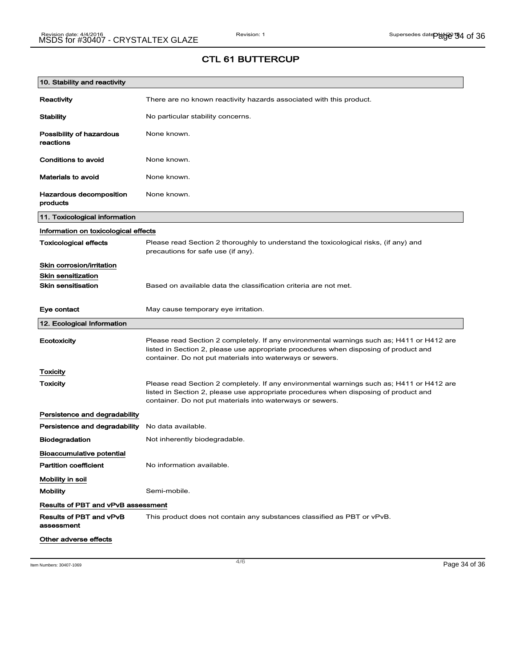## CTL 61 BUTTERCUP

| 10. Stability and reactivity              |                                                                                                                                                                                                                                                |
|-------------------------------------------|------------------------------------------------------------------------------------------------------------------------------------------------------------------------------------------------------------------------------------------------|
| Reactivity                                | There are no known reactivity hazards associated with this product.                                                                                                                                                                            |
| <b>Stability</b>                          | No particular stability concerns.                                                                                                                                                                                                              |
| Possibility of hazardous<br>reactions     | None known.                                                                                                                                                                                                                                    |
| Conditions to avoid                       | None known.                                                                                                                                                                                                                                    |
| <b>Materials to avoid</b>                 | None known.                                                                                                                                                                                                                                    |
| Hazardous decomposition<br>products       | None known.                                                                                                                                                                                                                                    |
| 11. Toxicological information             |                                                                                                                                                                                                                                                |
| Information on toxicological effects      |                                                                                                                                                                                                                                                |
| <b>Toxicological effects</b>              | Please read Section 2 thoroughly to understand the toxicological risks, (if any) and<br>precautions for safe use (if any).                                                                                                                     |
| Skin corrosion/irritation                 |                                                                                                                                                                                                                                                |
| <b>Skin sensitization</b>                 |                                                                                                                                                                                                                                                |
| <b>Skin sensitisation</b>                 | Based on available data the classification criteria are not met.                                                                                                                                                                               |
| Eye contact                               | May cause temporary eye irritation.                                                                                                                                                                                                            |
| 12. Ecological Information                |                                                                                                                                                                                                                                                |
| Ecotoxicity                               | Please read Section 2 completely. If any environmental warnings such as; H411 or H412 are<br>listed in Section 2, please use appropriate procedures when disposing of product and<br>container. Do not put materials into waterways or sewers. |
| Toxicity                                  |                                                                                                                                                                                                                                                |
| Toxicity                                  | Please read Section 2 completely. If any environmental warnings such as; H411 or H412 are<br>listed in Section 2, please use appropriate procedures when disposing of product and<br>container. Do not put materials into waterways or sewers. |
| Persistence and degradability             |                                                                                                                                                                                                                                                |
| Persistence and degradability             | No data available.                                                                                                                                                                                                                             |
| <b>Biodegradation</b>                     | Not inherently biodegradable.                                                                                                                                                                                                                  |
| <b>Bioaccumulative potential</b>          |                                                                                                                                                                                                                                                |
| <b>Partition coefficient</b>              | No information available.                                                                                                                                                                                                                      |
| Mobility in soil                          |                                                                                                                                                                                                                                                |
| <b>Mobility</b>                           | Semi-mobile.                                                                                                                                                                                                                                   |
| <b>Results of PBT and vPvB assessment</b> |                                                                                                                                                                                                                                                |
| Results of PBT and vPvB<br>assessment     | This product does not contain any substances classified as PBT or vPvB.                                                                                                                                                                        |
| Other adverse effects                     |                                                                                                                                                                                                                                                |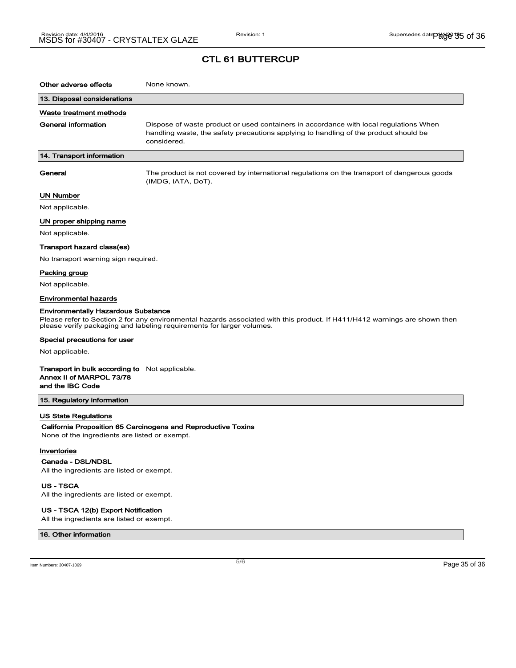## CTL 61 BUTTERCUP

| Other adverse effects                                                                                                                                                                                                                             | None known.                                                                                                                                                                                  |  |
|---------------------------------------------------------------------------------------------------------------------------------------------------------------------------------------------------------------------------------------------------|----------------------------------------------------------------------------------------------------------------------------------------------------------------------------------------------|--|
| 13. Disposal considerations                                                                                                                                                                                                                       |                                                                                                                                                                                              |  |
| Waste treatment methods                                                                                                                                                                                                                           |                                                                                                                                                                                              |  |
| <b>General information</b>                                                                                                                                                                                                                        | Dispose of waste product or used containers in accordance with local regulations When<br>handling waste, the safety precautions applying to handling of the product should be<br>considered. |  |
| 14. Transport information                                                                                                                                                                                                                         |                                                                                                                                                                                              |  |
| General                                                                                                                                                                                                                                           | The product is not covered by international regulations on the transport of dangerous goods<br>(IMDG, IATA, DoT).                                                                            |  |
| <b>UN Number</b>                                                                                                                                                                                                                                  |                                                                                                                                                                                              |  |
| Not applicable.                                                                                                                                                                                                                                   |                                                                                                                                                                                              |  |
| UN proper shipping name                                                                                                                                                                                                                           |                                                                                                                                                                                              |  |
| Not applicable.                                                                                                                                                                                                                                   |                                                                                                                                                                                              |  |
| Transport hazard class(es)                                                                                                                                                                                                                        |                                                                                                                                                                                              |  |
| No transport warning sign required.                                                                                                                                                                                                               |                                                                                                                                                                                              |  |
| Packing group                                                                                                                                                                                                                                     |                                                                                                                                                                                              |  |
| Not applicable.                                                                                                                                                                                                                                   |                                                                                                                                                                                              |  |
| <b>Environmental hazards</b>                                                                                                                                                                                                                      |                                                                                                                                                                                              |  |
| <b>Environmentally Hazardous Substance</b><br>Please refer to Section 2 for any environmental hazards associated with this product. If H411/H412 warnings are shown then<br>please verify packaging and labeling requirements for larger volumes. |                                                                                                                                                                                              |  |
| Special precautions for user                                                                                                                                                                                                                      |                                                                                                                                                                                              |  |
| Not applicable.                                                                                                                                                                                                                                   |                                                                                                                                                                                              |  |
| <b>Transport in bulk according to</b> Not applicable.<br>Annex II of MARPOL 73/78<br>and the IBC Code                                                                                                                                             |                                                                                                                                                                                              |  |
| 15. Regulatory information                                                                                                                                                                                                                        |                                                                                                                                                                                              |  |
| <b>US State Regulations</b><br>None of the ingredients are listed or exempt.                                                                                                                                                                      | California Proposition 65 Carcinogens and Reproductive Toxins                                                                                                                                |  |
| Inventories                                                                                                                                                                                                                                       |                                                                                                                                                                                              |  |
| Canada - DSL/NDSL<br>All the ingredients are listed or exempt.                                                                                                                                                                                    |                                                                                                                                                                                              |  |

US - TSCA

All the ingredients are listed or exempt.

#### US - TSCA 12(b) Export Notification

All the ingredients are listed or exempt.

#### 16. Other information